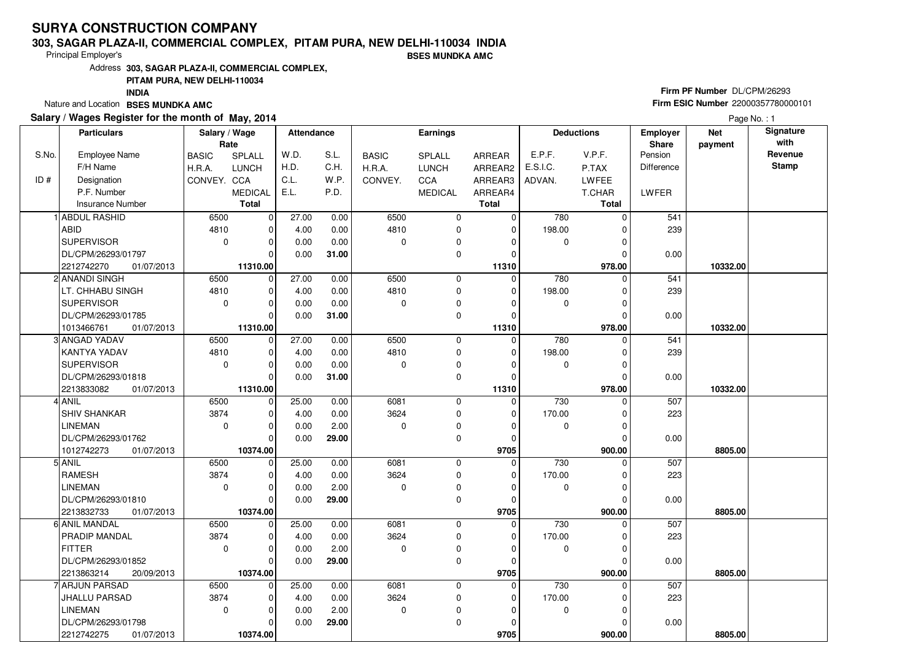#### **303, SAGAR PLAZA-II, COMMERCIAL COMPLEX, PITAM PURA, NEW DELHI-110034 INDIABSES MUNDKA AMC**

Principal Employer's

Address**303, SAGAR PLAZA-II, COMMERCIAL COMPLEX,**

**PITAM PURA, NEW DELHI-110034**

**INDIA**

Nature and Location **BSES MUNDKA AMC** 

### **Salary / Wages Register for the month of May, 2014**

# **Firm PF Number** DL/CPM/26293 **Firm ESIC Number** <sup>22000357780000101</sup>

|       | <b>Particulars</b>       | Salary / Wage<br>Rate |                | Attendance |       |              | Earnings       |                |             | <b>Deductions</b> | <b>Employer</b><br>Share | <b>Net</b><br>payment | Signature<br>with |
|-------|--------------------------|-----------------------|----------------|------------|-------|--------------|----------------|----------------|-------------|-------------------|--------------------------|-----------------------|-------------------|
| S.No. | <b>Employee Name</b>     | <b>BASIC</b>          | SPLALL         | W.D.       | S.L.  | <b>BASIC</b> | SPLALL         | ARREAR         | E.P.F.      | V.P.F.            | Pension                  |                       | Revenue           |
|       | F/H Name                 | H.R.A.                | <b>LUNCH</b>   | H.D.       | C.H.  | H.R.A.       | <b>LUNCH</b>   | ARREAR2        | E.S.I.C.    | P.TAX             | Difference               |                       | <b>Stamp</b>      |
| ID#   | Designation              | CONVEY. CCA           |                | C.L.       | W.P.  | CONVEY.      | CCA            | ARREAR3        | ADVAN.      | <b>LWFEE</b>      |                          |                       |                   |
|       | P.F. Number              |                       | <b>MEDICAL</b> | E.L.       | P.D.  |              | <b>MEDICAL</b> | ARREAR4        |             | T.CHAR            | LWFER                    |                       |                   |
|       | <b>Insurance Number</b>  |                       | <b>Total</b>   |            |       |              |                | <b>Total</b>   |             | Total             |                          |                       |                   |
|       | 1 ABDUL RASHID           | 6500                  | $\mathbf 0$    | 27.00      | 0.00  | 6500         | 0              | 0              | 780         | $\Omega$          | 541                      |                       |                   |
|       | <b>ABID</b>              | 4810                  | 0              | 4.00       | 0.00  | 4810         | 0              | $\mathbf 0$    | 198.00      | $\Omega$          | 239                      |                       |                   |
|       | <b>SUPERVISOR</b>        | $\mathbf 0$           | $\mathbf 0$    | 0.00       | 0.00  | $\mathbf 0$  | 0              | 0              | 0           | $\Omega$          |                          |                       |                   |
|       | DL/CPM/26293/01797       |                       | $\Omega$       | 0.00       | 31.00 |              | 0              | $\Omega$       |             | 0                 | 0.00                     |                       |                   |
|       | 2212742270<br>01/07/2013 |                       | 11310.00       |            |       |              |                | 11310          |             | 978.00            |                          | 10332.00              |                   |
|       | 2 ANANDI SINGH           | 6500                  | $\overline{0}$ | 27.00      | 0.00  | 6500         | 0              | $\Omega$       | 780         | $\Omega$          | 541                      |                       |                   |
|       | LT. CHHABU SINGH         | 4810                  | 0              | 4.00       | 0.00  | 4810         | 0              | 0              | 198.00      | $\Omega$          | 239                      |                       |                   |
|       | SUPERVISOR               | $\mathbf 0$           | $\Omega$       | 0.00       | 0.00  | $\mathbf 0$  | 0              | O              | 0           | 0                 |                          |                       |                   |
|       | DL/CPM/26293/01785       |                       | $\Omega$       | 0.00       | 31.00 |              | 0              | $\Omega$       |             | 0                 | 0.00                     |                       |                   |
|       | 1013466761<br>01/07/2013 |                       | 11310.00       |            |       |              |                | 11310          |             | 978.00            |                          | 10332.00              |                   |
|       | 3 ANGAD YADAV            | 6500                  | $\overline{0}$ | 27.00      | 0.00  | 6500         | 0              | $\Omega$       | 780         | $\Omega$          | 541                      |                       |                   |
|       | <b>KANTYA YADAV</b>      | 4810                  | $\mathbf 0$    | 4.00       | 0.00  | 4810         | 0              | 0              | 198.00      | 0                 | 239                      |                       |                   |
|       | SUPERVISOR               | $\Omega$              | $\Omega$       | 0.00       | 0.00  | $\Omega$     | 0              | $\Omega$       | $\mathbf 0$ | $\Omega$          |                          |                       |                   |
|       | DL/CPM/26293/01818       |                       | $\Omega$       | 0.00       | 31.00 |              | 0              | $\Omega$       |             | O                 | 0.00                     |                       |                   |
|       | 2213833082<br>01/07/2013 |                       | 11310.00       |            |       |              |                | 11310          |             | 978.00            |                          | 10332.00              |                   |
|       | 4 ANIL                   | 6500                  | $\pmb{0}$      | 25.00      | 0.00  | 6081         | 0              | $\Omega$       | 730         | $\Omega$          | 507                      |                       |                   |
|       | <b>SHIV SHANKAR</b>      | 3874                  | $\Omega$       | 4.00       | 0.00  | 3624         | 0              | $\Omega$       | 170.00      | 0                 | 223                      |                       |                   |
|       | <b>LINEMAN</b>           | $\Omega$              | $\Omega$       | 0.00       | 2.00  | $\Omega$     | 0              | $\Omega$       | $\mathbf 0$ | $\Omega$          |                          |                       |                   |
|       | DL/CPM/26293/01762       |                       | $\Omega$       | 0.00       | 29.00 |              | 0              | $\Omega$       |             | 0                 | 0.00                     |                       |                   |
|       | 1012742273<br>01/07/2013 |                       | 10374.00       |            |       |              |                | 9705           |             | 900.00            |                          | 8805.00               |                   |
|       | 5 ANIL                   | 6500                  | $\mathbf 0$    | 25.00      | 0.00  | 6081         | 0              | 0              | 730         | 0                 | 507                      |                       |                   |
|       | <b>RAMESH</b>            | 3874                  | $\Omega$       | 4.00       | 0.00  | 3624         | 0              | $\Omega$       | 170.00      | $\Omega$          | 223                      |                       |                   |
|       | <b>LINEMAN</b>           | $\mathbf 0$           | $\mathbf 0$    | 0.00       | 2.00  | $\mathbf 0$  | 0              | 0              | 0           | 0                 |                          |                       |                   |
|       | DL/CPM/26293/01810       |                       | $\Omega$       | 0.00       | 29.00 |              | 0              | $\Omega$       |             | O                 | 0.00                     |                       |                   |
|       | 2213832733<br>01/07/2013 |                       | 10374.00       |            |       |              |                | 9705           |             | 900.00            |                          | 8805.00               |                   |
|       | 6 ANIL MANDAL            | 6500                  | $\mathbf 0$    | 25.00      | 0.00  | 6081         | 0              | $\Omega$       | 730         | $\Omega$          | 507                      |                       |                   |
|       | PRADIP MANDAL            | 3874                  | $\Omega$       | 4.00       | 0.00  | 3624         | 0              | $\Omega$       | 170.00      | $\Omega$          | 223                      |                       |                   |
|       | <b>FITTER</b>            | $\mathbf 0$           | $\mathbf 0$    | 0.00       | 2.00  | $\mathbf 0$  | 0              | $\Omega$       | 0           | 0                 |                          |                       |                   |
|       | DL/CPM/26293/01852       |                       | $\Omega$       | 0.00       | 29.00 |              | 0              | O              |             | 0                 | 0.00                     |                       |                   |
|       | 2213863214<br>20/09/2013 |                       | 10374.00       |            |       |              |                | 9705           |             | 900.00            |                          | 8805.00               |                   |
|       | 7 ARJUN PARSAD           | 6500                  | $\Omega$       | 25.00      | 0.00  | 6081         | 0              | $\overline{0}$ | 730         | U                 | 507                      |                       |                   |
|       | <b>JHALLU PARSAD</b>     | 3874                  | $\Omega$       | 4.00       | 0.00  | 3624         | 0              | $\Omega$       | 170.00      | 0                 | 223                      |                       |                   |
|       | <b>LINEMAN</b>           | $\mathbf 0$           | $\mathbf 0$    | 0.00       | 2.00  | $\mathbf 0$  | 0              | $\Omega$       | $\mathbf 0$ | $\Omega$          |                          |                       |                   |
|       | DL/CPM/26293/01798       |                       | $\Omega$       | 0.00       | 29.00 |              | 0              | ŋ              |             | $\Omega$          | 0.00                     |                       |                   |
|       | 2212742275<br>01/07/2013 |                       | 10374.00       |            |       |              |                | 9705           |             | 900.00            |                          | 8805.00               |                   |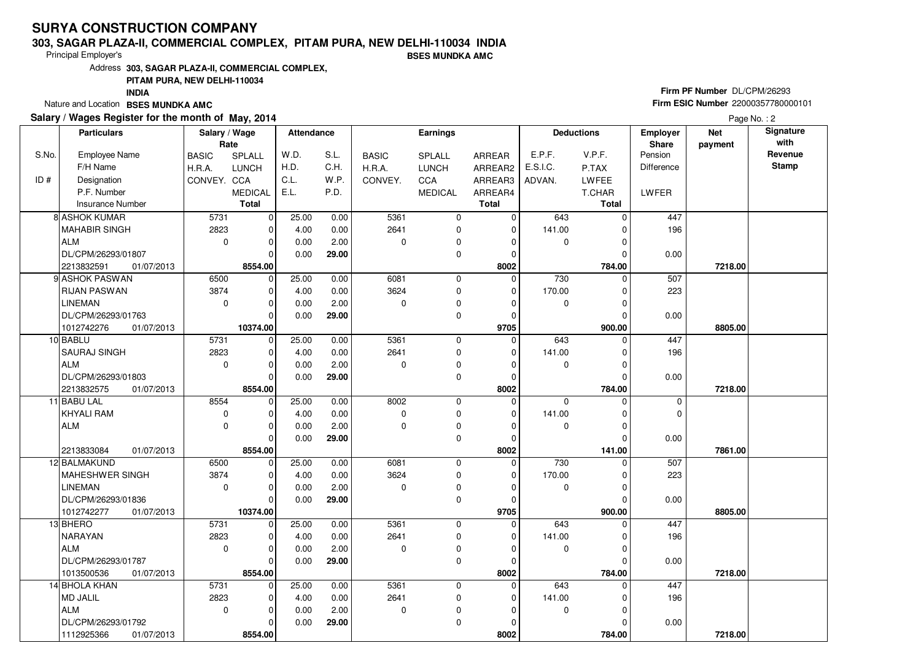#### **303, SAGAR PLAZA-II, COMMERCIAL COMPLEX, PITAM PURA, NEW DELHI-110034 INDIA**

Principal Employer's

**BSES MUNDKA AMC**

Address**303, SAGAR PLAZA-II, COMMERCIAL COMPLEX,**

### **PITAM PURA, NEW DELHI-110034**

**INDIA**

Nature and Location **BSES MUNDKA AMC** 

### **Salary / Wages Register for the month of May, 2014**

# **Firm PF Number** DL/CPM/26293 **Firm ESIC Number** <sup>22000357780000101</sup>

|       | <b>Particulars</b>                       | Salary / Wage<br>Rate |                        | <b>Attendance</b> |       |              | Earnings       |                     |             | <b>Deductions</b> | <b>Employer</b><br><b>Share</b> | <b>Net</b><br>payment | Signature<br>with |
|-------|------------------------------------------|-----------------------|------------------------|-------------------|-------|--------------|----------------|---------------------|-------------|-------------------|---------------------------------|-----------------------|-------------------|
| S.No. | <b>Employee Name</b>                     | <b>BASIC</b>          | <b>SPLALL</b>          | W.D.              | S.L.  | <b>BASIC</b> | <b>SPLALL</b>  | ARREAR              | E.P.F.      | V.P.F.            | Pension                         |                       | Revenue           |
|       | F/H Name                                 | H.R.A.                | <b>LUNCH</b>           | H.D.              | C.H.  | H.R.A.       | <b>LUNCH</b>   | ARREAR2             | E.S.I.C.    | P.TAX             | <b>Difference</b>               |                       | <b>Stamp</b>      |
| ID#   | Designation                              | CONVEY. CCA           |                        | C.L.              | W.P.  | CONVEY.      | CCA            | ARREAR3             | ADVAN.      | <b>LWFEE</b>      |                                 |                       |                   |
|       | P.F. Number                              |                       | <b>MEDICAL</b>         | E.L.              | P.D.  |              | <b>MEDICAL</b> | ARREAR4             |             | T.CHAR            | LWFER                           |                       |                   |
|       | <b>Insurance Number</b>                  |                       | <b>Total</b>           |                   |       |              |                | <b>Total</b>        |             | Total             |                                 |                       |                   |
|       | 8 ASHOK KUMAR                            | 5731                  | $\overline{0}$         | 25.00             | 0.00  | 5361         | 0              | 0                   | 643         | $\Omega$          | 447                             |                       |                   |
|       | <b>MAHABIR SINGH</b>                     | 2823                  | $\mathbf 0$            | 4.00              | 0.00  | 2641         | 0              | 0                   | 141.00      | $\Omega$          | 196                             |                       |                   |
|       | ALM                                      | $\mathbf 0$           | $\mathbf 0$            | 0.00              | 2.00  | $\mathbf 0$  | 0              | $\Omega$            | 0           | $\Omega$          |                                 |                       |                   |
|       | DL/CPM/26293/01807                       |                       | $\Omega$               | 0.00              | 29.00 |              | 0              | $\Omega$            |             | 0                 | 0.00                            |                       |                   |
|       | 2213832591<br>01/07/2013                 |                       | 8554.00                |                   |       |              |                | 8002                |             | 784.00            |                                 | 7218.00               |                   |
|       | 9 ASHOK PASWAN                           | 6500                  | $\overline{0}$         | 25.00             | 0.00  | 6081         | 0              | $\Omega$            | 730         | $\Omega$          | 507                             |                       |                   |
|       | <b>RIJAN PASWAN</b>                      | 3874                  | $\mathbf 0$            | 4.00              | 0.00  | 3624         | 0              | $\mathbf 0$         | 170.00      | 0                 | 223                             |                       |                   |
|       | LINEMAN                                  | $\mathbf 0$           | $\Omega$               | 0.00              | 2.00  | 0            | 0              | O                   | 0           | $\Omega$          |                                 |                       |                   |
|       | DL/CPM/26293/01763                       |                       | $\Omega$               | 0.00              | 29.00 |              | 0              | 0                   |             | $\Omega$          | 0.00                            |                       |                   |
|       | 1012742276<br>01/07/2013                 |                       | 10374.00               |                   |       |              |                | 9705                |             | 900.00            |                                 | 8805.00               |                   |
|       | 10 BABLU                                 | 5731                  | $\overline{0}$         | 25.00             | 0.00  | 5361         | 0              | $\mathbf 0$         | 643         | $\Omega$          | 447                             |                       |                   |
|       | <b>SAURAJ SINGH</b>                      | 2823                  | $\mathbf 0$            | 4.00              | 0.00  | 2641         | 0              | $\Omega$            | 141.00      | 0                 | 196                             |                       |                   |
|       | ALM                                      | $\mathbf 0$           | $\Omega$               | 0.00              | 2.00  | $\Omega$     | 0              | 0                   | $\mathbf 0$ | $\Omega$          |                                 |                       |                   |
|       | DL/CPM/26293/01803                       |                       | $\Omega$               | 0.00              | 29.00 |              | 0              | $\Omega$            |             | 0                 | 0.00                            |                       |                   |
|       | 2213832575<br>01/07/2013                 |                       | 8554.00                |                   |       |              |                | 8002                |             | 784.00            |                                 | 7218.00               |                   |
|       | 11 BABU LAL                              | 8554                  | $\overline{0}$         | 25.00             | 0.00  | 8002         | 0              | $\Omega$            | $\Omega$    | $\Omega$          | $\mathbf 0$                     |                       |                   |
|       | KHYALI RAM                               | $\mathbf 0$           | $\mathbf 0$            | 4.00              | 0.00  | $\mathbf 0$  | 0              | $\Omega$            | 141.00      | 0                 | 0                               |                       |                   |
|       | ALM                                      | $\mathbf 0$           | $\Omega$               | 0.00              | 2.00  | $\Omega$     | 0              | $\Omega$            | $\mathbf 0$ | $\Omega$          |                                 |                       |                   |
|       |                                          |                       | $\Omega$               | 0.00              | 29.00 |              | 0              | $\Omega$            |             | O                 | 0.00                            |                       |                   |
|       | 01/07/2013<br>2213833084<br>12 BALMAKUND | 6500                  | 8554.00<br>$\mathbf 0$ | 25.00             | 0.00  | 6081         | 0              | 8002<br>$\mathbf 0$ | 730         | 141.00<br>U       | 507                             | 7861.00               |                   |
|       | MAHESHWER SINGH                          | 3874                  | $\Omega$               | 4.00              | 0.00  | 3624         | 0              | $\Omega$            | 170.00      | 0                 | 223                             |                       |                   |
|       | <b>LINEMAN</b>                           | $\mathbf 0$           | $\mathbf 0$            | 0.00              | 2.00  | $\mathbf 0$  | 0              | $\Omega$            | $\mathbf 0$ | 0                 |                                 |                       |                   |
|       | DL/CPM/26293/01836                       |                       | $\Omega$               | 0.00              | 29.00 |              | 0              | $\Omega$            |             | $\Omega$          | 0.00                            |                       |                   |
|       | 1012742277<br>01/07/2013                 |                       | 10374.00               |                   |       |              |                | 9705                |             | 900.00            |                                 | 8805.00               |                   |
|       | 13 BHERO                                 | 5731                  | $\mathbf 0$            | 25.00             | 0.00  | 5361         | 0              | $\overline{0}$      | 643         | $\Omega$          | 447                             |                       |                   |
|       | NARAYAN                                  | 2823                  | $\Omega$               | 4.00              | 0.00  | 2641         | 0              | 0                   | 141.00      | $\Omega$          | 196                             |                       |                   |
|       | ALM                                      | $\mathbf 0$           | $\mathbf 0$            | 0.00              | 2.00  | $\mathbf 0$  | 0              | $\Omega$            | 0           | 0                 |                                 |                       |                   |
|       | DL/CPM/26293/01787                       |                       | $\Omega$               | 0.00              | 29.00 |              | 0              | $\Omega$            |             | O                 | 0.00                            |                       |                   |
|       | 1013500536<br>01/07/2013                 |                       | 8554.00                |                   |       |              |                | 8002                |             | 784.00            |                                 | 7218.00               |                   |
|       | 14 BHOLA KHAN                            | 5731                  | $\mathbf 0$            | 25.00             | 0.00  | 5361         | 0              | $\mathbf 0$         | 643         | $\Omega$          | 447                             |                       |                   |
|       | MD JALIL                                 | 2823                  | $\Omega$               | 4.00              | 0.00  | 2641         | 0              | $\Omega$            | 141.00      | $\Omega$          | 196                             |                       |                   |
|       | ALM                                      | $\Omega$              | $\Omega$               | 0.00              | 2.00  | $\Omega$     | 0              | O                   | 0           | $\Omega$          |                                 |                       |                   |
|       | DL/CPM/26293/01792                       |                       | $\Omega$               | 0.00              | 29.00 |              | 0              | 0                   |             | 0                 | 0.00                            |                       |                   |
|       | 1112925366<br>01/07/2013                 |                       | 8554.00                |                   |       |              |                | 8002                |             | 784.00            |                                 | 7218.00               |                   |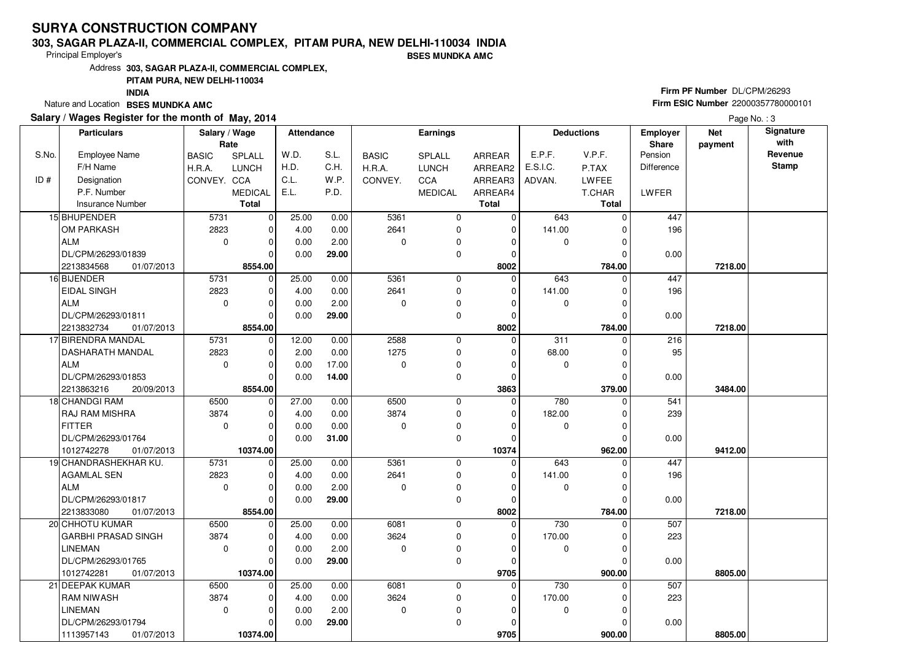#### **303, SAGAR PLAZA-II, COMMERCIAL COMPLEX, PITAM PURA, NEW DELHI-110034 INDIA**

Principal Employer's

**BSES MUNDKA AMC**

Address**303, SAGAR PLAZA-II, COMMERCIAL COMPLEX,**

### **PITAM PURA, NEW DELHI-110034**

**INDIA**

Nature and Location **BSES MUNDKA AMC** 

### **Salary / Wages Register for the month of May, 2014**

# **Firm PF Number** DL/CPM/26293 **Firm ESIC Number** <sup>22000357780000101</sup>

|       | <b>Particulars</b>         | Salary / Wage<br>Rate |                | <b>Attendance</b> |       |              | <b>Earnings</b> |               |             | <b>Deductions</b> | Employer<br><b>Share</b> | <b>Net</b> | Signature<br>with |
|-------|----------------------------|-----------------------|----------------|-------------------|-------|--------------|-----------------|---------------|-------------|-------------------|--------------------------|------------|-------------------|
| S.No. | Employee Name              | <b>BASIC</b>          | SPLALL         | W.D.              | S.L.  | <b>BASIC</b> | <b>SPLALL</b>   | <b>ARREAR</b> | E.P.F.      | V.P.F.            | Pension                  | payment    | Revenue           |
|       | F/H Name                   | H.R.A.                | <b>LUNCH</b>   | H.D.              | C.H.  | H.R.A.       | <b>LUNCH</b>    | ARREAR2       | E.S.I.C.    | P.TAX             | Difference               |            | <b>Stamp</b>      |
| ID#   | Designation                | CONVEY. CCA           |                | C.L.              | W.P.  | CONVEY.      | <b>CCA</b>      | ARREAR3       | ADVAN.      | <b>LWFEE</b>      |                          |            |                   |
|       | P.F. Number                |                       | <b>MEDICAL</b> | E.L.              | P.D.  |              | <b>MEDICAL</b>  | ARREAR4       |             | T.CHAR            | LWFER                    |            |                   |
|       | <b>Insurance Number</b>    |                       | <b>Total</b>   |                   |       |              |                 | <b>Total</b>  |             | <b>Total</b>      |                          |            |                   |
|       | 15 BHUPENDER               | 5731                  | $\mathbf 0$    | 25.00             | 0.00  | 5361         | 0               | 0             | 643         | $\Omega$          | 447                      |            |                   |
|       | OM PARKASH                 | 2823                  | $\mathbf 0$    | 4.00              | 0.00  | 2641         | $\mathbf 0$     | $\mathbf 0$   | 141.00      | $\Omega$          | 196                      |            |                   |
|       | ALM                        | $\mathbf 0$           | $\Omega$       | 0.00              | 2.00  | $\Omega$     | 0               | $\Omega$      | 0           | O                 |                          |            |                   |
|       | DL/CPM/26293/01839         |                       | $\Omega$       | 0.00              | 29.00 |              | 0               | $\mathbf 0$   |             | $\Omega$          | 0.00                     |            |                   |
|       | 01/07/2013<br>2213834568   |                       | 8554.00        |                   |       |              |                 | 8002          |             | 784.00            |                          | 7218.00    |                   |
|       | 16 BIJENDER                | 5731                  | 0              | 25.00             | 0.00  | 5361         | 0               | $\Omega$      | 643         | $\Omega$          | 447                      |            |                   |
|       | <b>EIDAL SINGH</b>         | 2823                  | $\mathbf 0$    | 4.00              | 0.00  | 2641         | $\mathbf 0$     | $\mathbf 0$   | 141.00      |                   | 196                      |            |                   |
|       | ALM                        | $\mathbf 0$           | $\mathbf 0$    | 0.00              | 2.00  | $\Omega$     | 0               | $\Omega$      | 0           |                   |                          |            |                   |
|       | DL/CPM/26293/01811         |                       | $\Omega$       | 0.00              | 29.00 |              | $\mathbf 0$     | $\mathbf 0$   |             | $\Omega$          | 0.00                     |            |                   |
|       | 2213832734<br>01/07/2013   |                       | 8554.00        |                   |       |              |                 | 8002          |             | 784.00            |                          | 7218.00    |                   |
|       | 17 BIRENDRA MANDAL         | 5731                  | $\mathbf 0$    | 12.00             | 0.00  | 2588         | 0               | $\mathbf 0$   | 311         | $\Omega$          | 216                      |            |                   |
|       | <b>DASHARATH MANDAL</b>    | 2823                  | $\mathbf 0$    | 2.00              | 0.00  | 1275         | $\mathbf 0$     | $\Omega$      | 68.00       |                   | 95                       |            |                   |
|       | ALM                        | $\mathbf 0$           | $\mathbf 0$    | 0.00              | 17.00 | $\Omega$     | 0               | $\Omega$      | 0           | $\Omega$          |                          |            |                   |
|       | DL/CPM/26293/01853         |                       | $\Omega$       | 0.00              | 14.00 |              | $\mathbf 0$     | $\mathbf 0$   |             |                   | 0.00                     |            |                   |
|       | 2213863216<br>20/09/2013   |                       | 8554.00        |                   |       |              |                 | 3863          |             | 379.00            |                          | 3484.00    |                   |
|       | 18 CHANDGI RAM             | 6500                  | $\mathbf 0$    | 27.00             | 0.00  | 6500         | $\mathbf 0$     | 0             | 780         | $\Omega$          | 541                      |            |                   |
|       | <b>RAJ RAM MISHRA</b>      | 3874                  | $\Omega$       | 4.00              | 0.00  | 3874         | $\mathbf 0$     | $\Omega$      | 182.00      |                   | 239                      |            |                   |
|       | <b>FITTER</b>              | $\mathbf 0$           | $\mathbf 0$    | 0.00              | 0.00  | $\Omega$     | 0               | $\Omega$      | 0           | $\Omega$          |                          |            |                   |
|       | DL/CPM/26293/01764         |                       | $\Omega$       | 0.00              | 31.00 |              | $\mathbf 0$     | $\Omega$      |             |                   | 0.00                     |            |                   |
|       | 1012742278<br>01/07/2013   |                       | 10374.00       |                   |       |              |                 | 10374         |             | 962.00            |                          | 9412.00    |                   |
|       | 19 CHANDRASHEKHAR KU.      | 5731                  | $\mathbf 0$    | 25.00             | 0.00  | 5361         | $\mathbf 0$     | $\Omega$      | 643         |                   | 447                      |            |                   |
|       | <b>AGAMLAL SEN</b>         | 2823                  | $\Omega$       | 4.00              | 0.00  | 2641         | 0               | $\Omega$      | 141.00      |                   | 196                      |            |                   |
|       | ALM                        | $\Omega$              | $\mathbf 0$    | 0.00              | 2.00  | $\Omega$     | $\mathbf 0$     | $\mathbf 0$   | $\mathbf 0$ | $\Omega$          |                          |            |                   |
|       | DL/CPM/26293/01817         |                       | $\Omega$       | 0.00              | 29.00 |              | $\mathbf 0$     | 0             |             |                   | 0.00                     |            |                   |
|       | 2213833080<br>01/07/2013   |                       | 8554.00        |                   |       |              |                 | 8002          |             | 784.00            |                          | 7218.00    |                   |
|       | 20 CHHOTU KUMAR            | 6500                  | $\mathbf 0$    | 25.00             | 0.00  | 6081         | $\mathbf 0$     | $\mathbf{0}$  | 730         | 0                 | 507                      |            |                   |
|       | <b>GARBHI PRASAD SINGH</b> | 3874                  | $\mathbf 0$    | 4.00              | 0.00  | 3624         | 0               | 0             | 170.00      | $\Omega$          | 223                      |            |                   |
|       | <b>LINEMAN</b>             | $\Omega$              | $\mathbf 0$    | 0.00              | 2.00  | $\Omega$     | $\mathbf 0$     | $\Omega$      | 0           |                   |                          |            |                   |
|       | DL/CPM/26293/01765         |                       | $\Omega$       | 0.00              | 29.00 |              | 0               | $\Omega$      |             | U                 | 0.00                     |            |                   |
|       | 1012742281<br>01/07/2013   |                       | 10374.00       |                   |       |              |                 | 9705          |             | 900.00            |                          | 8805.00    |                   |
|       | 21 DEEPAK KUMAR            | 6500                  | $\mathbf 0$    | 25.00             | 0.00  | 6081         | $\mathbf 0$     | $\Omega$      | 730         | <sup>0</sup>      | 507                      |            |                   |
|       | <b>RAM NIWASH</b>          | 3874                  | $\mathbf 0$    | 4.00              | 0.00  | 3624         | $\mathbf 0$     | 0             | 170.00      |                   | 223                      |            |                   |
|       | <b>LINEMAN</b>             | $\mathbf 0$           | $\mathbf 0$    | 0.00              | 2.00  | $\mathbf 0$  | 0               | $\Omega$      | 0           | U                 |                          |            |                   |
|       | DL/CPM/26293/01794         |                       | $\Omega$       | 0.00              | 29.00 |              | 0               | $\Omega$      |             |                   | 0.00                     |            |                   |
|       | 1113957143<br>01/07/2013   |                       | 10374.00       |                   |       |              |                 | 9705          |             | 900.00            |                          | 8805.00    |                   |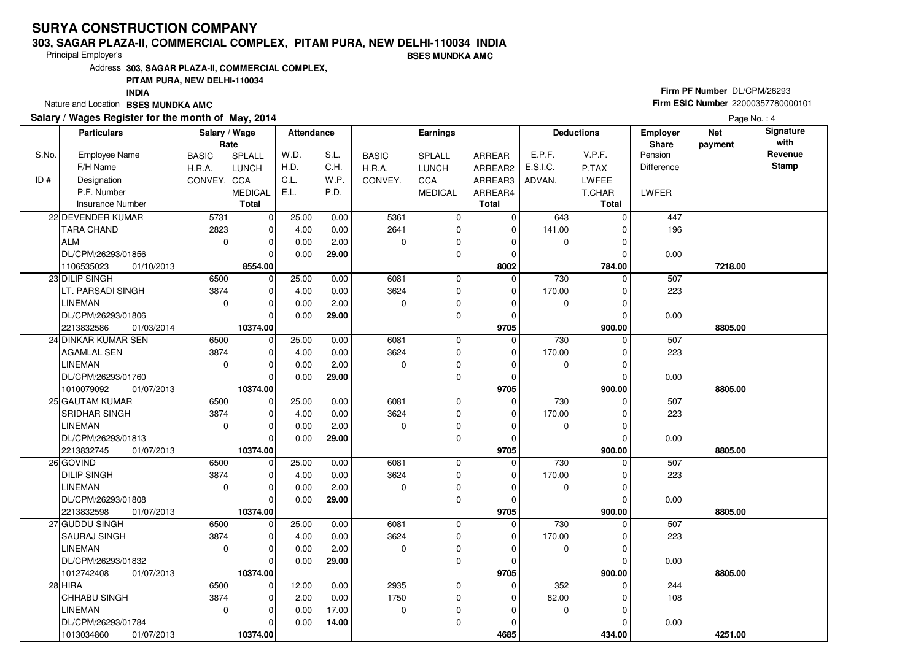#### **303, SAGAR PLAZA-II, COMMERCIAL COMPLEX, PITAM PURA, NEW DELHI-110034 INDIABSES MUNDKA AMC**

Principal Employer's

Address**303, SAGAR PLAZA-II, COMMERCIAL COMPLEX,**

### **PITAM PURA, NEW DELHI-110034**

**INDIA**

Nature and Location **BSES MUNDKA AMC** 

### **Salary / Wages Register for the month of May, 2014**

# **Firm PF Number** DL/CPM/26293 **Firm ESIC Number** <sup>22000357780000101</sup>

|       | <b>Particulars</b>       | Salary / Wage |                | <b>Attendance</b> |       |              | Earnings       |              |             | <b>Deductions</b> | <b>Employer</b> | <b>Net</b> | Signature    |
|-------|--------------------------|---------------|----------------|-------------------|-------|--------------|----------------|--------------|-------------|-------------------|-----------------|------------|--------------|
|       |                          | Rate          |                |                   |       |              |                |              |             |                   | Share           | payment    | with         |
| S.No. | Employee Name            | <b>BASIC</b>  | SPLALL         | W.D.              | S.L.  | <b>BASIC</b> | SPLALL         | ARREAR       | E.P.F.      | V.P.F.            | Pension         |            | Revenue      |
|       | F/H Name                 | H.R.A.        | <b>LUNCH</b>   | H.D.              | C.H.  | H.R.A.       | <b>LUNCH</b>   | ARREAR2      | E.S.I.C.    | P.TAX             | Difference      |            | <b>Stamp</b> |
| ID#   | Designation              | CONVEY. CCA   |                | C.L.              | W.P.  | CONVEY.      | CCA            | ARREAR3      | ADVAN.      | <b>LWFEE</b>      |                 |            |              |
|       | P.F. Number              |               | <b>MEDICAL</b> | E.L.              | P.D.  |              | <b>MEDICAL</b> | ARREAR4      |             | T.CHAR            | LWFER           |            |              |
|       | <b>Insurance Number</b>  |               | Total          |                   |       |              |                | <b>Total</b> |             | Total             |                 |            |              |
|       | 22 DEVENDER KUMAR        | 5731          | $\mathbf 0$    | 25.00             | 0.00  | 5361         | $\mathbf 0$    | $\mathbf 0$  | 643         | $\Omega$          | 447             |            |              |
|       | <b>TARA CHAND</b>        | 2823          | 0              | 4.00              | 0.00  | 2641         | $\mathbf 0$    | $\mathbf 0$  | 141.00      | $\Omega$          | 196             |            |              |
|       | <b>ALM</b>               | $\mathbf 0$   | 0              | 0.00              | 2.00  | 0            | $\mathbf 0$    | 0            | 0           | $\Omega$          |                 |            |              |
|       | DL/CPM/26293/01856       |               | $\Omega$       | 0.00              | 29.00 |              | $\mathbf 0$    | $\Omega$     |             | $\Omega$          | 0.00            |            |              |
|       | 1106535023<br>01/10/2013 |               | 8554.00        |                   |       |              |                | 8002         |             | 784.00            |                 | 7218.00    |              |
|       | 23 DILIP SINGH           | 6500          | $\mathbf 0$    | 25.00             | 0.00  | 6081         | $\mathbf 0$    | $\Omega$     | 730         | $\Omega$          | 507             |            |              |
|       | LT. PARSADI SINGH        | 3874          | 0              | 4.00              | 0.00  | 3624         | $\mathbf 0$    | $\Omega$     | 170.00      | $\Omega$          | 223             |            |              |
|       | LINEMAN                  | $\mathbf 0$   | 0              | 0.00              | 2.00  | 0            | $\mathbf 0$    | $\Omega$     | 0           | $\Omega$          |                 |            |              |
|       | DL/CPM/26293/01806       |               | O              | 0.00              | 29.00 |              | $\mathbf 0$    | $\Omega$     |             | $\Omega$          | 0.00            |            |              |
|       | 2213832586<br>01/03/2014 |               | 10374.00       |                   |       |              |                | 9705         |             | 900.00            |                 | 8805.00    |              |
|       | 24 DINKAR KUMAR SEN      | 6500          | $\mathbf 0$    | 25.00             | 0.00  | 6081         | $\mathbf 0$    | $\mathbf 0$  | 730         | $\Omega$          | 507             |            |              |
|       | <b>AGAMLAL SEN</b>       | 3874          | 0              | 4.00              | 0.00  | 3624         | $\mathbf 0$    | $\mathbf{0}$ | 170.00      | $\Omega$          | 223             |            |              |
|       | <b>LINEMAN</b>           | $\mathbf 0$   | $\overline{0}$ | 0.00              | 2.00  | 0            | $\mathbf 0$    | $\Omega$     | $\Omega$    | $\Omega$          |                 |            |              |
|       | DL/CPM/26293/01760       |               | O              | 0.00              | 29.00 |              | $\pmb{0}$      | $\mathbf 0$  |             |                   | 0.00            |            |              |
|       | 1010079092<br>01/07/2013 |               | 10374.00       |                   |       |              |                | 9705         |             | 900.00            |                 | 8805.00    |              |
|       | 25 GAUTAM KUMAR          | 6500          | $\mathbf 0$    | 25.00             | 0.00  | 6081         | $\mathbf 0$    | $\mathbf 0$  | 730         | 0                 | 507             |            |              |
|       | SRIDHAR SINGH            | 3874          | 0              | 4.00              | 0.00  | 3624         | $\mathbf 0$    | $\Omega$     | 170.00      | $\Omega$          | 223             |            |              |
|       | LINEMAN                  | $\mathbf 0$   | $\Omega$       | 0.00              | 2.00  | 0            | $\mathbf 0$    | $\Omega$     | $\mathbf 0$ | $\Omega$          |                 |            |              |
|       | DL/CPM/26293/01813       |               | $\Omega$       | 0.00              | 29.00 |              | $\mathbf 0$    | $\Omega$     |             |                   | 0.00            |            |              |
|       | 2213832745<br>01/07/2013 |               | 10374.00       |                   |       |              |                | 9705         |             | 900.00            |                 | 8805.00    |              |
|       | 26 GOVIND                | 6500          | $\Omega$       | 25.00             | 0.00  | 6081         | $\mathbf 0$    | $\mathbf 0$  | 730         |                   | 507             |            |              |
|       | <b>DILIP SINGH</b>       | 3874          | $\Omega$       | 4.00              | 0.00  | 3624         | $\mathbf 0$    | $\Omega$     | 170.00      | $\Omega$          | 223             |            |              |
|       | <b>LINEMAN</b>           | $\mathbf 0$   | 0              | 0.00              | 2.00  | 0            | $\pmb{0}$      | 0            | $\mathbf 0$ | $\Omega$          |                 |            |              |
|       | DL/CPM/26293/01808       |               | 0              | 0.00              | 29.00 |              | $\mathbf 0$    | 0            |             |                   | 0.00            |            |              |
|       | 2213832598<br>01/07/2013 |               | 10374.00       |                   |       |              |                | 9705         |             | 900.00            |                 | 8805.00    |              |
|       | 27 GUDDU SINGH           | 6500          | 0              | 25.00             | 0.00  | 6081         | $\mathbf 0$    | $\Omega$     | 730         | $\Omega$          | 507             |            |              |
|       | SAURAJ SINGH             | 3874          | $\Omega$       | 4.00              | 0.00  | 3624         | $\mathbf 0$    | $\Omega$     | 170.00      | 0                 | 223             |            |              |
|       | LINEMAN                  | $\mathbf 0$   | 0              | 0.00              | 2.00  | 0            | $\pmb{0}$      | $\Omega$     | 0           |                   |                 |            |              |
|       | DL/CPM/26293/01832       |               | $\Omega$       | 0.00              | 29.00 |              | $\mathbf 0$    | $\Omega$     |             | 0                 | 0.00            |            |              |
|       | 1012742408<br>01/07/2013 |               | 10374.00       |                   |       |              |                | 9705         |             | 900.00            |                 | 8805.00    |              |
|       | 28 HIRA                  | 6500          | $\Omega$       | 12.00             | 0.00  | 2935         | $\mathbf 0$    | $\Omega$     | 352         | $\Omega$          | 244             |            |              |
|       | CHHABU SINGH             | 3874          | 0              | 2.00              | 0.00  | 1750         | $\pmb{0}$      | 0            | 82.00       |                   | 108             |            |              |
|       | LINEMAN                  | $\mathbf 0$   | 0              | 0.00              | 17.00 | 0            | $\pmb{0}$      | $\Omega$     | $\mathbf 0$ | $\Omega$          |                 |            |              |
|       | DL/CPM/26293/01784       |               | 0              | 0.00              | 14.00 |              | $\mathbf 0$    | $\Omega$     |             |                   | 0.00            |            |              |
|       | 1013034860<br>01/07/2013 |               | 10374.00       |                   |       |              |                | 4685         |             | 434.00            |                 | 4251.00    |              |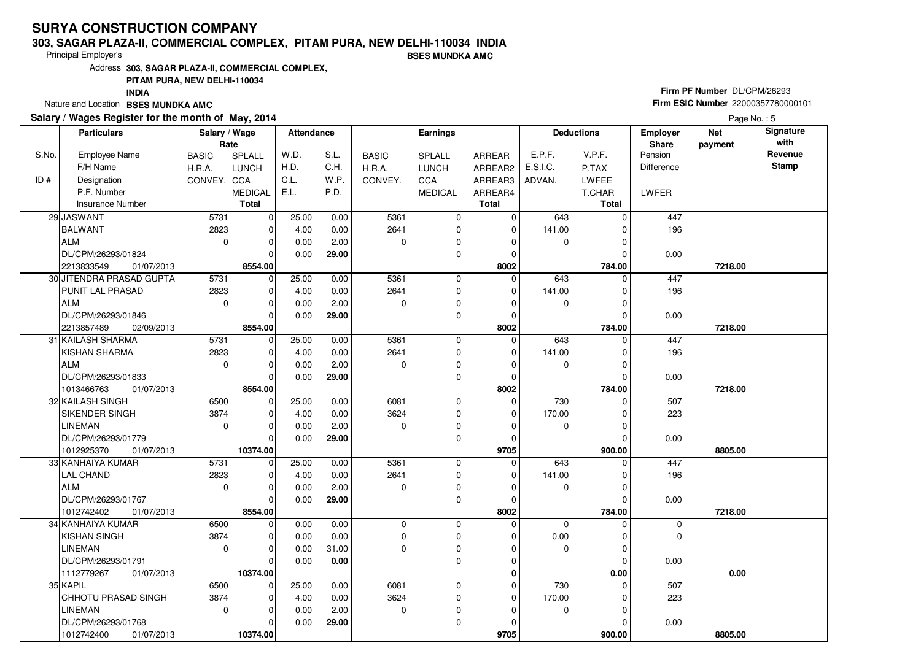#### **303, SAGAR PLAZA-II, COMMERCIAL COMPLEX, PITAM PURA, NEW DELHI-110034 INDIA**

Principal Employer's

**BSES MUNDKA AMC**

Address**303, SAGAR PLAZA-II, COMMERCIAL COMPLEX,**

### **PITAM PURA, NEW DELHI-110034**

**INDIA**

Nature and Location **BSES MUNDKA AMC** 

### **Salary / Wages Register for the month of May, 2014**

# **Firm PF Number** DL/CPM/26293 **Firm ESIC Number** <sup>22000357780000101</sup>

|       | <b>Particulars</b>         | Salary / Wage<br>Rate |                | Attendance |       |              | <b>Earnings</b> |               |             | <b>Deductions</b> | Employer<br><b>Share</b> | <b>Net</b> | Signature<br>with |
|-------|----------------------------|-----------------------|----------------|------------|-------|--------------|-----------------|---------------|-------------|-------------------|--------------------------|------------|-------------------|
| S.No. | Employee Name              | <b>BASIC</b>          | SPLALL         | W.D.       | S.L.  | <b>BASIC</b> | <b>SPLALL</b>   | <b>ARREAR</b> | E.P.F.      | V.P.F.            | Pension                  | payment    | Revenue           |
|       | F/H Name                   | H.R.A.                | <b>LUNCH</b>   | H.D.       | C.H.  | H.R.A.       | <b>LUNCH</b>    | ARREAR2       | E.S.I.C.    | P.TAX             | Difference               |            | <b>Stamp</b>      |
| ID#   | Designation                | CONVEY. CCA           |                | C.L.       | W.P.  | CONVEY.      | <b>CCA</b>      | ARREAR3       | ADVAN.      | LWFEE             |                          |            |                   |
|       | P.F. Number                |                       | <b>MEDICAL</b> | E.L.       | P.D.  |              | <b>MEDICAL</b>  | ARREAR4       |             | T.CHAR            | LWFER                    |            |                   |
|       | <b>Insurance Number</b>    |                       | <b>Total</b>   |            |       |              |                 | <b>Total</b>  |             | <b>Total</b>      |                          |            |                   |
|       | 29 JASWANT                 | 5731                  | $\mathbf 0$    | 25.00      | 0.00  | 5361         | 0               | 0             | 643         | $\Omega$          | 447                      |            |                   |
|       | <b>BALWANT</b>             | 2823                  | $\mathbf 0$    | 4.00       | 0.00  | 2641         | $\mathbf 0$     | $\mathbf 0$   | 141.00      | $\Omega$          | 196                      |            |                   |
|       | ALM                        | $\mathbf 0$           | $\Omega$       | 0.00       | 2.00  | $\Omega$     | 0               | $\Omega$      | 0           | O                 |                          |            |                   |
|       | DL/CPM/26293/01824         |                       | $\Omega$       | 0.00       | 29.00 |              | 0               | 0             |             | 0                 | 0.00                     |            |                   |
|       | 2213833549<br>01/07/2013   |                       | 8554.00        |            |       |              |                 | 8002          |             | 784.00            |                          | 7218.00    |                   |
|       | 30 JITENDRA PRASAD GUPTA   | 5731                  | 0              | 25.00      | 0.00  | 5361         | 0               | $\Omega$      | 643         | $\Omega$          | 447                      |            |                   |
|       | PUNIT LAL PRASAD           | 2823                  | $\mathbf 0$    | 4.00       | 0.00  | 2641         | $\mathbf 0$     | $\mathbf 0$   | 141.00      |                   | 196                      |            |                   |
|       | ALM                        | $\mathbf 0$           | $\mathbf 0$    | 0.00       | 2.00  | $\Omega$     | 0               | $\Omega$      | 0           |                   |                          |            |                   |
|       | DL/CPM/26293/01846         |                       | $\Omega$       | 0.00       | 29.00 |              | $\mathbf 0$     | $\mathbf 0$   |             | $\Omega$          | 0.00                     |            |                   |
|       | 2213857489<br>02/09/2013   |                       | 8554.00        |            |       |              |                 | 8002          |             | 784.00            |                          | 7218.00    |                   |
|       | 31 KAILASH SHARMA          | 5731                  | $\mathbf 0$    | 25.00      | 0.00  | 5361         | 0               | $\mathbf 0$   | 643         | $\Omega$          | 447                      |            |                   |
|       | <b>KISHAN SHARMA</b>       | 2823                  | $\mathbf 0$    | 4.00       | 0.00  | 2641         | $\mathbf 0$     | $\mathbf 0$   | 141.00      |                   | 196                      |            |                   |
|       | ALM                        | $\mathbf 0$           | $\mathbf 0$    | 0.00       | 2.00  | $\Omega$     | 0               | $\Omega$      | 0           | $\Omega$          |                          |            |                   |
|       | DL/CPM/26293/01833         |                       | $\Omega$       | 0.00       | 29.00 |              | $\mathbf 0$     | $\mathbf 0$   |             |                   | 0.00                     |            |                   |
|       | 1013466763<br>01/07/2013   |                       | 8554.00        |            |       |              |                 | 8002          |             | 784.00            |                          | 7218.00    |                   |
|       | 32 KAILASH SINGH           | 6500                  | $\mathbf 0$    | 25.00      | 0.00  | 6081         | $\mathbf 0$     | 0             | 730         | $\Omega$          | 507                      |            |                   |
|       | <b>SIKENDER SINGH</b>      | 3874                  | $\Omega$       | 4.00       | 0.00  | 3624         | $\mathbf 0$     | $\Omega$      | 170.00      |                   | 223                      |            |                   |
|       | <b>LINEMAN</b>             | $\mathbf 0$           | $\mathbf 0$    | 0.00       | 2.00  | $\Omega$     | 0               | 0             | 0           | O                 |                          |            |                   |
|       | DL/CPM/26293/01779         |                       | $\Omega$       | 0.00       | 29.00 |              | $\mathbf 0$     | $\mathbf 0$   |             |                   | 0.00                     |            |                   |
|       | 1012925370<br>01/07/2013   |                       | 10374.00       |            |       |              |                 | 9705          |             | 900.00            |                          | 8805.00    |                   |
|       | 33 KANHAIYA KUMAR          | 5731                  | $\mathbf 0$    | 25.00      | 0.00  | 5361         | $\mathbf 0$     | $\Omega$      | 643         |                   | 447                      |            |                   |
|       | <b>LAL CHAND</b>           | 2823                  | $\Omega$       | 4.00       | 0.00  | 2641         | 0               | $\Omega$      | 141.00      |                   | 196                      |            |                   |
|       | ALM                        | $\Omega$              | $\mathbf 0$    | 0.00       | 2.00  | $\Omega$     | $\mathbf 0$     | $\mathbf 0$   | 0           | $\Omega$          |                          |            |                   |
|       | DL/CPM/26293/01767         |                       | $\Omega$       | 0.00       | 29.00 |              | $\mathbf 0$     | 0             |             |                   | 0.00                     |            |                   |
|       | 1012742402<br>01/07/2013   |                       | 8554.00        |            |       |              |                 | 8002          |             | 784.00            |                          | 7218.00    |                   |
|       | 34 KANHAIYA KUMAR          | 6500                  | $\mathbf 0$    | 0.00       | 0.00  | $\Omega$     | $\mathbf 0$     | $\Omega$      | $\mathbf 0$ | $\Omega$          | $\mathbf 0$              |            |                   |
|       | KISHAN SINGH               | 3874                  | $\mathbf 0$    | 0.00       | 0.00  | $\mathbf 0$  | 0               | $\Omega$      | 0.00        | 0                 | 0                        |            |                   |
|       | <b>LINEMAN</b>             | $\Omega$              | $\mathbf 0$    | 0.00       | 31.00 | $\Omega$     | $\mathbf 0$     | $\Omega$      | $\mathbf 0$ | O                 |                          |            |                   |
|       | DL/CPM/26293/01791         |                       | $\Omega$       | 0.00       | 0.00  |              | 0               | $\Omega$      |             | $\Omega$          | 0.00                     |            |                   |
|       | 1112779267<br>01/07/2013   |                       | 10374.00       |            |       |              |                 | 0             |             | 0.00              |                          | 0.00       |                   |
|       | 35 KAPIL                   | 6500                  | $\mathbf 0$    | 25.00      | 0.00  | 6081         | $\mathbf 0$     | 0             | 730         | <sup>0</sup>      | 507                      |            |                   |
|       | <b>CHHOTU PRASAD SINGH</b> | 3874                  | $\mathbf 0$    | 4.00       | 0.00  | 3624         | $\mathbf 0$     | 0             | 170.00      |                   | 223                      |            |                   |
|       | <b>LINEMAN</b>             | $\mathbf 0$           | $\mathbf 0$    | 0.00       | 2.00  | $\mathbf 0$  | 0               | $\Omega$      | 0           | $\Omega$          |                          |            |                   |
|       | DL/CPM/26293/01768         |                       | 0              | 0.00       | 29.00 |              | 0               | $\Omega$      |             |                   | 0.00                     |            |                   |
|       | 1012742400<br>01/07/2013   |                       | 10374.00       |            |       |              |                 | 9705          |             | 900.00            |                          | 8805.00    |                   |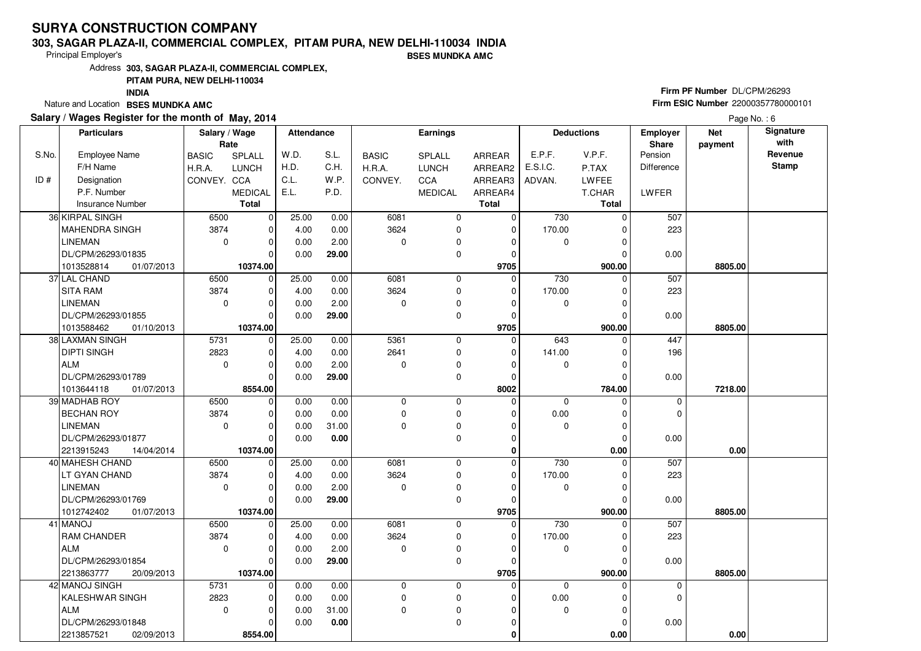#### **303, SAGAR PLAZA-II, COMMERCIAL COMPLEX, PITAM PURA, NEW DELHI-110034 INDIABSES MUNDKA AMC**

Principal Employer's

Address**303, SAGAR PLAZA-II, COMMERCIAL COMPLEX,**

**PITAM PURA, NEW DELHI-110034**

**INDIA**

Nature and Location **BSES MUNDKA AMC** 

#### **Salary / Wages Register for the month of May, 2014**

# **Firm PF Number** DL/CPM/26293 **Firm ESIC Number** <sup>22000357780000101</sup>

|       | <b>Particulars</b>       | Salary / Wage<br>Rate |                | <b>Attendance</b> |       |              | Earnings       |               |             | <b>Deductions</b> | Employer<br>Share | <b>Net</b><br>payment | Signature<br>with |
|-------|--------------------------|-----------------------|----------------|-------------------|-------|--------------|----------------|---------------|-------------|-------------------|-------------------|-----------------------|-------------------|
| S.No. | <b>Employee Name</b>     | <b>BASIC</b>          | SPLALL         | W.D.              | S.L.  | <b>BASIC</b> | SPLALL         | <b>ARREAR</b> | E.P.F.      | V.P.F.            | Pension           |                       | Revenue           |
|       | F/H Name                 | H.R.A.                | <b>LUNCH</b>   | H.D.              | C.H.  | H.R.A.       | <b>LUNCH</b>   | ARREAR2       | E.S.I.C.    | P.TAX             | <b>Difference</b> |                       | <b>Stamp</b>      |
| ID#   | Designation              | CONVEY. CCA           |                | C.L.              | W.P.  | CONVEY.      | CCA            | ARREAR3       | ADVAN.      | <b>LWFEE</b>      |                   |                       |                   |
|       | P.F. Number              |                       | <b>MEDICAL</b> | E.L.              | P.D.  |              | <b>MEDICAL</b> | ARREAR4       |             | T.CHAR            | LWFER             |                       |                   |
|       | <b>Insurance Number</b>  |                       | <b>Total</b>   |                   |       |              |                | <b>Total</b>  |             | Total             |                   |                       |                   |
|       | 36 KIRPAL SINGH          | 6500                  | $\mathbf 0$    | 25.00             | 0.00  | 6081         | $\mathbf 0$    | 0             | 730         | $\Omega$          | 507               |                       |                   |
|       | <b>MAHENDRA SINGH</b>    | 3874                  | $\mathbf 0$    | 4.00              | 0.00  | 3624         | 0              | $\mathbf 0$   | 170.00      | $\Omega$          | 223               |                       |                   |
|       | <b>LINEMAN</b>           | $\mathbf 0$           | $\mathbf 0$    | 0.00              | 2.00  | 0            | 0              | $\Omega$      | $\mathbf 0$ | $\Omega$          |                   |                       |                   |
|       | DL/CPM/26293/01835       |                       | $\Omega$       | 0.00              | 29.00 |              | 0              | $\Omega$      |             | C                 | 0.00              |                       |                   |
|       | 01/07/2013<br>1013528814 |                       | 10374.00       |                   |       |              |                | 9705          |             | 900.00            |                   | 8805.00               |                   |
|       |                          |                       | $\mathbf 0$    |                   |       | 6081         | $\mathbf 0$    | $\Omega$      | 730         | $\Omega$          | 507               |                       |                   |
|       | 37 LAL CHAND             | 6500<br>3874          |                | 25.00             | 0.00  |              |                |               |             |                   |                   |                       |                   |
|       | <b>SITA RAM</b>          |                       | $\mathbf 0$    | 4.00              | 0.00  | 3624         | 0              | $\mathbf 0$   | 170.00      | $\Omega$          | 223               |                       |                   |
|       | <b>LINEMAN</b>           | $\mathbf 0$           | $\mathbf 0$    | 0.00              | 2.00  | 0            | 0              | $\Omega$      | 0           | $\Omega$          |                   |                       |                   |
|       | DL/CPM/26293/01855       |                       | $\Omega$       | 0.00              | 29.00 |              | 0              | $\mathbf 0$   |             | $\Omega$          | 0.00              |                       |                   |
|       | 1013588462<br>01/10/2013 |                       | 10374.00       |                   |       |              |                | 9705          |             | 900.00            |                   | 8805.00               |                   |
|       | 38 LAXMAN SINGH          | 5731                  | $\mathbf 0$    | 25.00             | 0.00  | 5361         | 0              | 0             | 643         | $\Omega$          | 447               |                       |                   |
|       | <b>DIPTI SINGH</b>       | 2823                  | $\mathbf 0$    | 4.00              | 0.00  | 2641         | 0              | $\mathbf 0$   | 141.00      | 0                 | 196               |                       |                   |
|       | <b>ALM</b>               | $\mathbf 0$           | $\mathbf 0$    | 0.00              | 2.00  | 0            | 0              | $\Omega$      | 0           | $\Omega$          |                   |                       |                   |
|       | DL/CPM/26293/01789       |                       | $\mathbf 0$    | 0.00              | 29.00 |              | 0              | $\mathbf 0$   |             | $\Omega$          | 0.00              |                       |                   |
|       | 01/07/2013<br>1013644118 |                       | 8554.00        |                   |       |              |                | 8002          |             | 784.00            |                   | 7218.00               |                   |
|       | 39 MADHAB ROY            | 6500                  | 0              | 0.00              | 0.00  | 0            | $\mathbf 0$    | $\Omega$      | $\mathbf 0$ | $\Omega$          | $\mathbf 0$       |                       |                   |
|       | <b>BECHAN ROY</b>        | 3874                  | $\mathbf 0$    | 0.00              | 0.00  | 0            | 0              | $\Omega$      | 0.00        | $\Omega$          | $\mathbf 0$       |                       |                   |
|       | <b>LINEMAN</b>           | $\Omega$              | $\mathbf 0$    | 0.00              | 31.00 | $\Omega$     | 0              | $\Omega$      | 0           | $\Omega$          |                   |                       |                   |
|       | DL/CPM/26293/01877       |                       | $\mathbf 0$    | 0.00              | 0.00  |              | 0              | $\mathbf 0$   |             | $\Omega$          | 0.00              |                       |                   |
|       | 2213915243<br>14/04/2014 |                       | 10374.00       |                   |       |              |                | $\mathbf 0$   |             | 0.00              |                   | 0.00                  |                   |
|       | 40 MAHESH CHAND          | 6500                  | 0              | 25.00             | 0.00  | 6081         | 0              | $\mathbf 0$   | 730         | $\Omega$          | 507               |                       |                   |
|       | LT GYAN CHAND            | 3874                  | $\mathbf 0$    | 4.00              | 0.00  | 3624         | 0              | $\mathbf 0$   | 170.00      | $\sqrt{ }$        | 223               |                       |                   |
|       | LINEMAN                  | $\Omega$              | $\mathbf 0$    | 0.00              | 2.00  | 0            | 0              | $\mathbf 0$   | $\mathbf 0$ | $\Omega$          |                   |                       |                   |
|       | DL/CPM/26293/01769       |                       | $\mathbf 0$    | 0.00              | 29.00 |              | 0              | $\mathbf 0$   |             | $\mathcal{C}$     | 0.00              |                       |                   |
|       | 1012742402<br>01/07/2013 |                       | 10374.00       |                   |       |              |                | 9705          |             | 900.00            |                   | 8805.00               |                   |
|       | 41 MANOJ                 | 6500                  | $\mathbf 0$    | 25.00             | 0.00  | 6081         | 0              | $\mathbf 0$   | 730         | $\mathcal{C}$     | 507               |                       |                   |
|       | RAM CHANDER              | 3874                  | $\mathbf 0$    | 4.00              | 0.00  | 3624         | 0              | $\Omega$      | 170.00      | 0                 | 223               |                       |                   |
|       | <b>ALM</b>               | $\Omega$              | $\mathbf 0$    | 0.00              | 2.00  | $\Omega$     | 0              | $\Omega$      | 0           | C                 |                   |                       |                   |
|       | DL/CPM/26293/01854       |                       | $\mathbf 0$    | 0.00              | 29.00 |              | $\mathbf 0$    | $\Omega$      |             | $\mathcal{C}$     | 0.00              |                       |                   |
|       | 2213863777<br>20/09/2013 |                       | 10374.00       |                   |       |              |                | 9705          |             | 900.00            |                   | 8805.00               |                   |
|       | 42 MANOJ SINGH           | 5731                  | $\pmb{0}$      | 0.00              | 0.00  | $\mathbf 0$  | $\mathbf 0$    | $\mathbf 0$   | $\mathbf 0$ | $\Omega$          | 0                 |                       |                   |
|       | <b>KALESHWAR SINGH</b>   | 2823                  | $\mathbf 0$    | 0.00              | 0.00  | $\mathbf 0$  | 0              | $\Omega$      | 0.00        |                   | $\mathbf 0$       |                       |                   |
|       | ALM                      | $\Omega$              | $\mathbf 0$    | 0.00              | 31.00 | $\Omega$     | 0              | $\Omega$      | $\Omega$    | $\Omega$          |                   |                       |                   |
|       | DL/CPM/26293/01848       |                       | $\mathbf 0$    | 0.00              | 0.00  |              | $\mathbf 0$    | 0             |             | 0                 | 0.00              |                       |                   |
|       | 2213857521<br>02/09/2013 |                       | 8554.00        |                   |       |              |                | 0             |             | 0.00              |                   | 0.00                  |                   |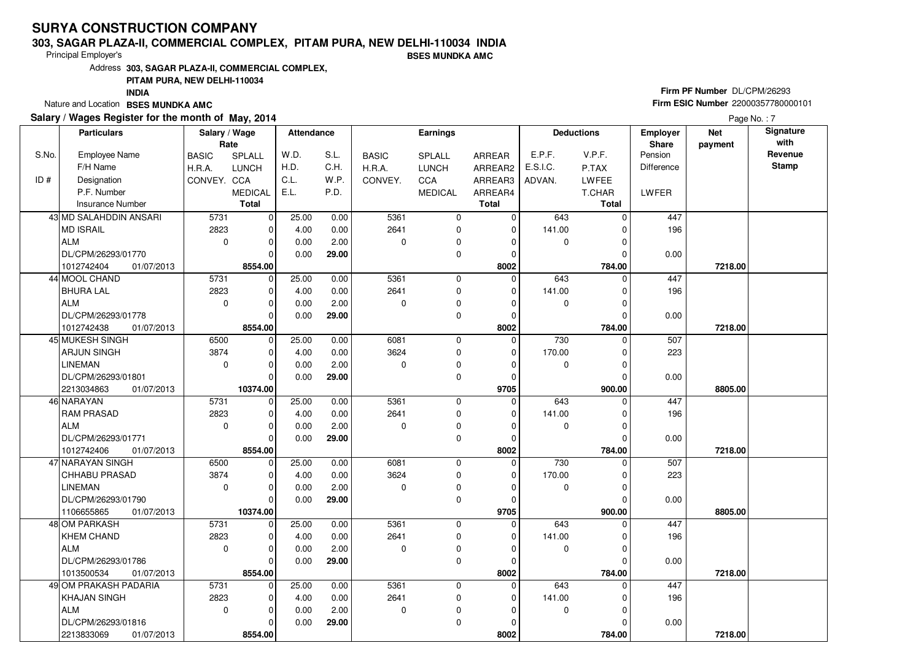#### **303, SAGAR PLAZA-II, COMMERCIAL COMPLEX, PITAM PURA, NEW DELHI-110034 INDIA**

Principal Employer's

**BSES MUNDKA AMC**

Address**303, SAGAR PLAZA-II, COMMERCIAL COMPLEX,**

### **PITAM PURA, NEW DELHI-110034**

**INDIA**

Nature and Location **BSES MUNDKA AMC** 

### **Salary / Wages Register for the month of May, 2014**

# **Firm PF Number** DL/CPM/26293 **Firm ESIC Number** <sup>22000357780000101</sup>

|       | <b>Particulars</b>       | Salary / Wage<br>Rate |                | <b>Attendance</b> |       |              | Earnings       |                |             | <b>Deductions</b> | <b>Employer</b><br><b>Share</b> | <b>Net</b><br>payment | Signature<br>with |
|-------|--------------------------|-----------------------|----------------|-------------------|-------|--------------|----------------|----------------|-------------|-------------------|---------------------------------|-----------------------|-------------------|
| S.No. | <b>Employee Name</b>     | <b>BASIC</b>          | SPLALL         | W.D.              | S.L.  | <b>BASIC</b> | <b>SPLALL</b>  | ARREAR         | E.P.F.      | V.P.F.            | Pension                         |                       | Revenue           |
|       | F/H Name                 | H.R.A.                | <b>LUNCH</b>   | H.D.              | C.H.  | H.R.A.       | <b>LUNCH</b>   | ARREAR2        | E.S.I.C.    | P.TAX             | <b>Difference</b>               |                       | <b>Stamp</b>      |
| ID#   | Designation              | CONVEY. CCA           |                | C.L.              | W.P.  | CONVEY.      | CCA            | ARREAR3        | ADVAN.      | <b>LWFEE</b>      |                                 |                       |                   |
|       | P.F. Number              |                       | <b>MEDICAL</b> | E.L.              | P.D.  |              | <b>MEDICAL</b> | ARREAR4        |             | T.CHAR            | LWFER                           |                       |                   |
|       | <b>Insurance Number</b>  |                       | <b>Total</b>   |                   |       |              |                | <b>Total</b>   |             | Total             |                                 |                       |                   |
|       | 43 MD SALAHDDIN ANSARI   | 5731                  | $\overline{0}$ | 25.00             | 0.00  | 5361         | 0              | 0              | 643         | $\Omega$          | 447                             |                       |                   |
|       | <b>MD ISRAIL</b>         | 2823                  | 0              | 4.00              | 0.00  | 2641         | 0              | 0              | 141.00      | $\Omega$          | 196                             |                       |                   |
|       | ALM                      | $\mathbf 0$           | $\mathbf 0$    | 0.00              | 2.00  | $\mathbf 0$  | 0              | 0              | 0           | $\Omega$          |                                 |                       |                   |
|       | DL/CPM/26293/01770       |                       | $\Omega$       | 0.00              | 29.00 |              | 0              | $\Omega$       |             | 0                 | 0.00                            |                       |                   |
|       | 1012742404<br>01/07/2013 |                       | 8554.00        |                   |       |              |                | 8002           |             | 784.00            |                                 | 7218.00               |                   |
|       | 44 MOOL CHAND            | 5731                  | 0              | 25.00             | 0.00  | 5361         | 0              | $\Omega$       | 643         | $\Omega$          | 447                             |                       |                   |
|       | <b>BHURA LAL</b>         | 2823                  | $\mathbf 0$    | 4.00              | 0.00  | 2641         | 0              | $\Omega$       | 141.00      | 0                 | 196                             |                       |                   |
|       | ALM                      | $\mathbf 0$           | $\Omega$       | 0.00              | 2.00  | $\Omega$     | 0              | O              | 0           | $\Omega$          |                                 |                       |                   |
|       | DL/CPM/26293/01778       |                       | $\Omega$       | 0.00              | 29.00 |              | 0              | $\Omega$       |             | $\Omega$          | 0.00                            |                       |                   |
|       | 1012742438<br>01/07/2013 |                       | 8554.00        |                   |       |              |                | 8002           |             | 784.00            |                                 | 7218.00               |                   |
|       | 45 MUKESH SINGH          | 6500                  | $\overline{0}$ | 25.00             | 0.00  | 6081         | 0              | $\mathbf 0$    | 730         | $\Omega$          | 507                             |                       |                   |
|       | ARJUN SINGH              | 3874                  | $\mathbf 0$    | 4.00              | 0.00  | 3624         | 0              | $\mathbf 0$    | 170.00      | 0                 | 223                             |                       |                   |
|       | <b>LINEMAN</b>           | $\mathbf 0$           | $\Omega$       | 0.00              | 2.00  | $\Omega$     | 0              | 0              | $\mathbf 0$ | $\Omega$          |                                 |                       |                   |
|       | DL/CPM/26293/01801       |                       | $\Omega$       | 0.00              | 29.00 |              | 0              | $\Omega$       |             | 0                 | 0.00                            |                       |                   |
|       | 2213034863<br>01/07/2013 |                       | 10374.00       |                   |       |              |                | 9705           |             | 900.00            |                                 | 8805.00               |                   |
|       | 46 NARAYAN               | 5731                  | $\overline{0}$ | 25.00             | 0.00  | 5361         | 0              | 0              | 643         | $\Omega$          | 447                             |                       |                   |
|       | <b>RAM PRASAD</b>        | 2823                  | $\mathbf 0$    | 4.00              | 0.00  | 2641         | 0              | $\Omega$       | 141.00      | $\Omega$          | 196                             |                       |                   |
|       | ALM                      | $\mathbf 0$           | $\Omega$       | 0.00              | 2.00  | $\Omega$     | 0              | $\Omega$       | $\mathbf 0$ | $\Omega$          |                                 |                       |                   |
|       | DL/CPM/26293/01771       |                       | $\Omega$       | 0.00              | 29.00 |              | 0              | $\Omega$       |             | O                 | 0.00                            |                       |                   |
|       | 1012742406<br>01/07/2013 |                       | 8554.00        |                   |       |              |                | 8002           |             | 784.00            |                                 | 7218.00               |                   |
|       | 47 NARAYAN SINGH         | 6500                  | $\mathbf 0$    | 25.00             | 0.00  | 6081         | 0              | $\mathbf 0$    | 730         | U                 | 507                             |                       |                   |
|       | <b>CHHABU PRASAD</b>     | 3874                  | $\Omega$       | 4.00              | 0.00  | 3624         | 0              | $\Omega$       | 170.00      | 0                 | 223                             |                       |                   |
|       | <b>LINEMAN</b>           | $\mathbf 0$           | $\mathbf 0$    | 0.00              | 2.00  | $\mathbf 0$  | 0              | $\Omega$       | $\mathbf 0$ | 0                 |                                 |                       |                   |
|       | DL/CPM/26293/01790       |                       | $\Omega$       | 0.00              | 29.00 |              | 0              | $\Omega$       |             | $\Omega$          | 0.00                            |                       |                   |
|       | 1106655865<br>01/07/2013 |                       | 10374.00       |                   |       |              |                | 9705           |             | 900.00            |                                 | 8805.00               |                   |
|       | 48 OM PARKASH            | 5731                  | $\mathbf 0$    | 25.00             | 0.00  | 5361         | 0              | $\overline{0}$ | 643         | $\Omega$          | 447                             |                       |                   |
|       | <b>KHEM CHAND</b>        | 2823                  | $\Omega$       | 4.00              | 0.00  | 2641         | 0              | 0              | 141.00      | $\Omega$          | 196                             |                       |                   |
|       | <b>ALM</b>               | $\mathbf 0$           | $\mathbf 0$    | 0.00              | 2.00  | $\mathbf 0$  | 0              | $\Omega$       | 0           | 0                 |                                 |                       |                   |
|       | DL/CPM/26293/01786       |                       | $\Omega$       | 0.00              | 29.00 |              | 0              | $\Omega$       |             | O                 | 0.00                            |                       |                   |
|       | 1013500534<br>01/07/2013 |                       | 8554.00        |                   |       |              |                | 8002           |             | 784.00            |                                 | 7218.00               |                   |
|       | 49 OM PRAKASH PADARIA    | 5731                  | $\mathbf 0$    | 25.00             | 0.00  | 5361         | 0              | $\mathbf 0$    | 643         | $\Omega$          | 447                             |                       |                   |
|       | KHAJAN SINGH             | 2823                  | $\Omega$       | 4.00              | 0.00  | 2641         | 0              | $\Omega$       | 141.00      | $\Omega$          | 196                             |                       |                   |
|       | ALM                      | $\Omega$              | $\Omega$       | 0.00              | 2.00  | $\Omega$     | 0              | O              | 0           | $\Omega$          |                                 |                       |                   |
|       | DL/CPM/26293/01816       |                       | $\Omega$       | 0.00              | 29.00 |              | 0              | 0              |             | 0                 | 0.00                            |                       |                   |
|       | 2213833069<br>01/07/2013 |                       | 8554.00        |                   |       |              |                | 8002           |             | 784.00            |                                 | 7218.00               |                   |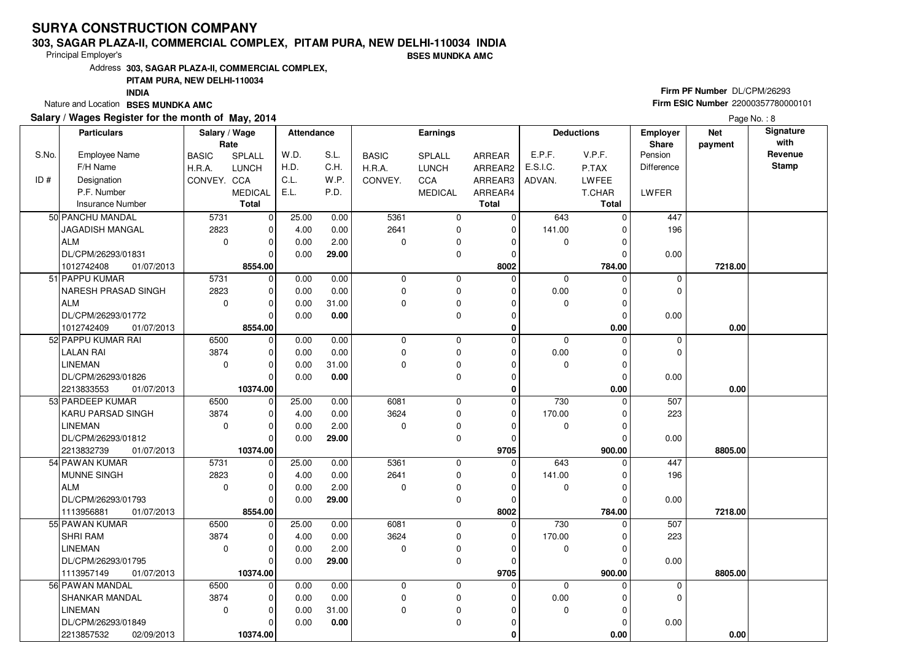#### **303, SAGAR PLAZA-II, COMMERCIAL COMPLEX, PITAM PURA, NEW DELHI-110034 INDIABSES MUNDKA AMC**

Principal Employer's

Address**303, SAGAR PLAZA-II, COMMERCIAL COMPLEX,**

**PITAM PURA, NEW DELHI-110034**

**INDIA**

Nature and Location **BSES MUNDKA AMC** 

### **Salary / Wages Register for the month of May, 2014**

# **Firm PF Number** DL/CPM/26293 **Firm ESIC Number** <sup>22000357780000101</sup>

|       | <b>Particulars</b>         | Salary / Wage |                | <b>Attendance</b> |       |              | Earnings       |              | <b>Deductions</b> |          | <b>Employer</b>   | <b>Net</b> | Signature       |
|-------|----------------------------|---------------|----------------|-------------------|-------|--------------|----------------|--------------|-------------------|----------|-------------------|------------|-----------------|
|       |                            | Rate          |                |                   |       |              |                |              |                   |          | Share             | payment    | with<br>Revenue |
| S.No. | <b>Employee Name</b>       | <b>BASIC</b>  | SPLALL         | W.D.              | S.L.  | <b>BASIC</b> | SPLALL         | ARREAR       | E.P.F.            | V.P.F.   | Pension           |            | Stamp           |
|       | F/H Name                   | H.R.A.        | <b>LUNCH</b>   | H.D.              | C.H.  | H.R.A.       | <b>LUNCH</b>   | ARREAR2      | E.S.I.C.          | P.TAX    | <b>Difference</b> |            |                 |
| ID#   | Designation                | CONVEY. CCA   |                | C.L.              | W.P.  | CONVEY.      | CCA            | ARREAR3      | ADVAN.            | LWFEE    |                   |            |                 |
|       | P.F. Number                |               | <b>MEDICAL</b> | E.L.              | P.D.  |              | <b>MEDICAL</b> | ARREAR4      |                   | T.CHAR   | LWFER             |            |                 |
|       | <b>Insurance Number</b>    |               | <b>Total</b>   |                   |       |              |                | <b>Total</b> |                   | Total    |                   |            |                 |
|       | 50 PANCHU MANDAL           | 5731          | $\mathbf 0$    | 25.00             | 0.00  | 5361         | $\mathbf 0$    | $\mathbf 0$  | 643               | $\Omega$ | 447               |            |                 |
|       | JAGADISH MANGAL            | 2823          | 0              | 4.00              | 0.00  | 2641         | $\mathbf 0$    | $\Omega$     | 141.00            | 0        | 196               |            |                 |
|       | <b>ALM</b>                 | $\mathbf 0$   | 0              | 0.00              | 2.00  | 0            | $\mathbf 0$    | 0            | 0                 | $\Omega$ |                   |            |                 |
|       | DL/CPM/26293/01831         |               | O              | 0.00              | 29.00 |              | $\mathbf 0$    | $\Omega$     |                   | $\Omega$ | 0.00              |            |                 |
|       | 1012742408<br>01/07/2013   |               | 8554.00        |                   |       |              |                | 8002         |                   | 784.00   |                   | 7218.00    |                 |
|       | 51 PAPPU KUMAR             | 5731          | $\Omega$       | 0.00              | 0.00  | 0            | 0              | $\Omega$     | $\mathbf 0$       | $\Omega$ | 0                 |            |                 |
|       | <b>NARESH PRASAD SINGH</b> | 2823          | 0              | 0.00              | 0.00  | 0            | $\mathbf 0$    | 0            | 0.00              | $\Omega$ | 0                 |            |                 |
|       | <b>ALM</b>                 | $\mathbf 0$   | 0              | 0.00              | 31.00 | 0            | $\mathbf 0$    | 0            | $\mathbf 0$       | $\Omega$ |                   |            |                 |
|       | DL/CPM/26293/01772         |               | $\Omega$       | 0.00              | 0.00  |              | $\mathbf 0$    | 0            |                   | $\Omega$ | 0.00              |            |                 |
|       | 01/07/2013<br>1012742409   |               | 8554.00        |                   |       |              |                | $\bf{0}$     |                   | 0.00     |                   | 0.00       |                 |
|       | 52 PAPPU KUMAR RAI         | 6500          | $\mathbf 0$    | 0.00              | 0.00  | 0            | $\mathbf 0$    | $\Omega$     | $\mathbf 0$       | $\Omega$ | 0                 |            |                 |
|       | <b>LALAN RAI</b>           | 3874          | $\mathbf 0$    | 0.00              | 0.00  | 0            | $\mathbf 0$    | $\Omega$     | 0.00              | $\Omega$ | $\overline{0}$    |            |                 |
|       | <b>LINEMAN</b>             | $\mathbf 0$   | $\mathbf 0$    | 0.00              | 31.00 | 0            | $\pmb{0}$      | $\Omega$     | $\Omega$          | $\Omega$ |                   |            |                 |
|       | DL/CPM/26293/01826         |               | $\Omega$       | 0.00              | 0.00  |              | $\mathbf 0$    | $\mathbf 0$  |                   | $\Omega$ | 0.00              |            |                 |
|       | 2213833553<br>01/07/2013   |               | 10374.00       |                   |       |              |                | $\mathbf 0$  |                   | 0.00     |                   | 0.00       |                 |
|       | 53 PARDEEP KUMAR           | 6500          | $\mathbf 0$    | 25.00             | 0.00  | 6081         | $\mathbf 0$    | $\mathbf 0$  | 730               | $\Omega$ | 507               |            |                 |
|       | KARU PARSAD SINGH          | 3874          | $\Omega$       | 4.00              | 0.00  | 3624         | $\mathbf 0$    | $\Omega$     | 170.00            | $\Omega$ | 223               |            |                 |
|       | <b>LINEMAN</b>             | $\mathbf 0$   | 0              | 0.00              | 2.00  | 0            | $\mathbf 0$    | $\Omega$     | $\mathbf 0$       | $\Omega$ |                   |            |                 |
|       | DL/CPM/26293/01812         |               | $\Omega$       | 0.00              | 29.00 |              | $\mathbf 0$    | $\Omega$     |                   |          | 0.00              |            |                 |
|       | 2213832739<br>01/07/2013   |               | 10374.00       |                   |       |              |                | 9705         |                   | 900.00   |                   | 8805.00    |                 |
|       | 54 PAWAN KUMAR             | 5731          | 0              | 25.00             | 0.00  | 5361         | $\mathbf 0$    | $\Omega$     | 643               |          | 447               |            |                 |
|       | MUNNE SINGH                | 2823          | 0              | 4.00              | 0.00  | 2641         | $\pmb{0}$      | $\Omega$     | 141.00            | $\Omega$ | 196               |            |                 |
|       | <b>ALM</b>                 | $\Omega$      | 0              | 0.00              | 2.00  | 0            | $\mathbf 0$    | $\Omega$     | 0                 | $\Omega$ |                   |            |                 |
|       | DL/CPM/26293/01793         |               | 0              | 0.00              | 29.00 |              | $\mathbf 0$    | 0            |                   |          | 0.00              |            |                 |
|       | 1113956881<br>01/07/2013   |               | 8554.00        |                   |       |              |                | 8002         |                   | 784.00   |                   | 7218.00    |                 |
|       | 55 PAWAN KUMAR             | 6500          | $\mathbf 0$    | 25.00             | 0.00  | 6081         | $\mathbf 0$    | $\mathbf 0$  | 730               | $\Omega$ | 507               |            |                 |
|       | <b>SHRI RAM</b>            | 3874          | $\Omega$       | 4.00              | 0.00  | 3624         | $\mathbf 0$    | $\Omega$     | 170.00            | $\Omega$ | 223               |            |                 |
|       | LINEMAN                    | $\mathbf 0$   | 0              | 0.00              | 2.00  | 0            | $\pmb{0}$      | $\Omega$     | 0                 |          |                   |            |                 |
|       | DL/CPM/26293/01795         |               | $\Omega$       | 0.00              | 29.00 |              | $\mathbf 0$    | $\Omega$     |                   | $\Omega$ | 0.00              |            |                 |
|       | 1113957149<br>01/07/2013   |               | 10374.00       |                   |       |              |                | 9705         |                   | 900.00   |                   | 8805.00    |                 |
|       | 56 PAWAN MANDAL            | 6500          | 0              | 0.00              | 0.00  | 0            | $\mathbf 0$    | $\Omega$     | $\Omega$          | $\Omega$ | 0                 |            |                 |
|       | SHANKAR MANDAL             | 3874          | 0              | 0.00              | 0.00  | 0            | $\pmb{0}$      | 0            | 0.00              |          | 0                 |            |                 |
|       | LINEMAN                    | $\mathbf 0$   | 0              | 0.00              | 31.00 | 0            | $\mathbf 0$    | $\Omega$     | $\mathbf 0$       | $\Omega$ |                   |            |                 |
|       | DL/CPM/26293/01849         |               | 0              | 0.00              | 0.00  |              | $\mathbf 0$    | 0            |                   | 0        | 0.00              |            |                 |
|       | 2213857532<br>02/09/2013   |               | 10374.00       |                   |       |              |                | $\bf{0}$     |                   | 0.00     |                   | 0.00       |                 |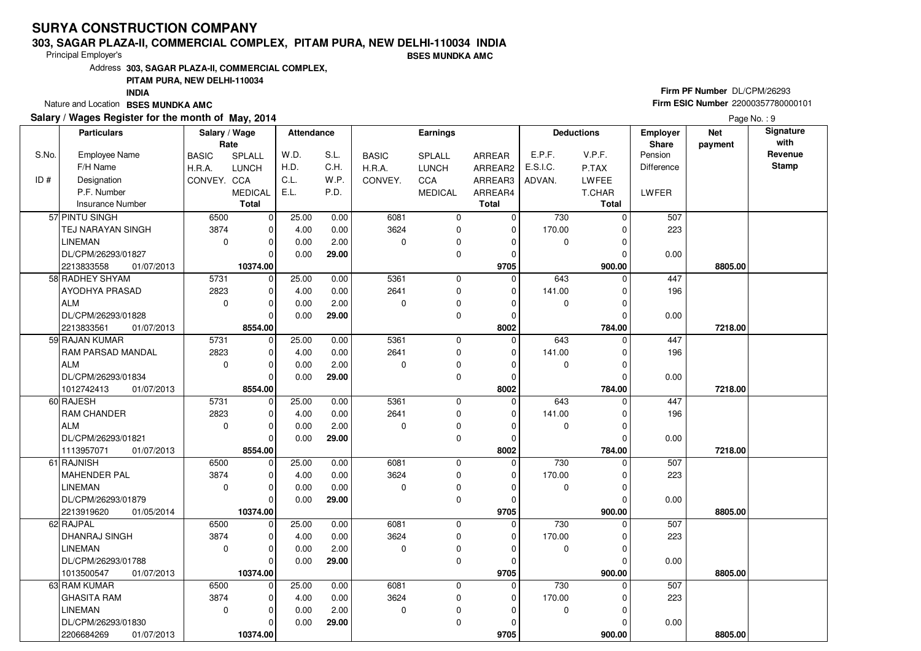#### **303, SAGAR PLAZA-II, COMMERCIAL COMPLEX, PITAM PURA, NEW DELHI-110034 INDIA**

Principal Employer's

**BSES MUNDKA AMC**

Address**303, SAGAR PLAZA-II, COMMERCIAL COMPLEX,**

### **PITAM PURA, NEW DELHI-110034**

**INDIA**

Nature and Location **BSES MUNDKA AMC** 

#### **Salary / Wages Register for the month of May, 2014**

# **Firm PF Number** DL/CPM/26293 **Firm ESIC Number** <sup>22000357780000101</sup>

|       | <b>Particulars</b>       | Salary / Wage<br>Rate |                | Attendance |       |              | <b>Earnings</b> |              |             | <b>Deductions</b> | <b>Employer</b><br>Share | <b>Net</b><br>payment | Signature<br>with |
|-------|--------------------------|-----------------------|----------------|------------|-------|--------------|-----------------|--------------|-------------|-------------------|--------------------------|-----------------------|-------------------|
| S.No. | <b>Employee Name</b>     | <b>BASIC</b>          | SPLALL         | W.D.       | S.L.  | <b>BASIC</b> | <b>SPLALL</b>   | ARREAR       | E.P.F.      | V.P.F.            | Pension                  |                       | Revenue           |
|       | F/H Name                 | H.R.A.                | <b>LUNCH</b>   | H.D.       | C.H.  | H.R.A.       | <b>LUNCH</b>    | ARREAR2      | E.S.I.C.    | P.TAX             | <b>Difference</b>        |                       | <b>Stamp</b>      |
| ID#   | Designation              | CONVEY. CCA           |                | C.L.       | W.P.  | CONVEY.      | CCA             | ARREAR3      | ADVAN.      | LWFEE             |                          |                       |                   |
|       | P.F. Number              |                       | <b>MEDICAL</b> | E.L.       | P.D.  |              | <b>MEDICAL</b>  | ARREAR4      |             | T.CHAR            | LWFER                    |                       |                   |
|       | Insurance Number         |                       | <b>Total</b>   |            |       |              |                 | <b>Total</b> |             | <b>Total</b>      |                          |                       |                   |
|       | 57 PINTU SINGH           | 6500                  | $\mathbf 0$    | 25.00      | 0.00  | 6081         | $\mathbf 0$     | 0            | 730         | $\Omega$          | 507                      |                       |                   |
|       | <b>TEJ NARAYAN SINGH</b> | 3874                  | $\mathbf 0$    | 4.00       | 0.00  | 3624         | 0               | $\mathbf 0$  | 170.00      | O                 | 223                      |                       |                   |
|       | LINEMAN                  | $\mathbf 0$           | $\mathbf 0$    | 0.00       | 2.00  | $\Omega$     | $\mathbf 0$     | 0            | 0           |                   |                          |                       |                   |
|       | DL/CPM/26293/01827       |                       | $\Omega$       | 0.00       | 29.00 |              | 0               | 0            |             |                   | 0.00                     |                       |                   |
|       | 2213833558<br>01/07/2013 |                       | 10374.00       |            |       |              |                 | 9705         |             | 900.00            |                          | 8805.00               |                   |
|       | 58 RADHEY SHYAM          | 5731                  | $\mathbf 0$    | 25.00      | 0.00  | 5361         | 0               | $\Omega$     | 643         | 0                 | 447                      |                       |                   |
|       | AYODHYA PRASAD           | 2823                  | $\mathbf 0$    | 4.00       | 0.00  | 2641         | $\mathbf 0$     | $\mathbf 0$  | 141.00      | $\Omega$          | 196                      |                       |                   |
|       | ALM                      | $\mathbf 0$           | $\mathbf 0$    | 0.00       | 2.00  | $\mathbf 0$  | 0               | $\Omega$     | 0           | O                 |                          |                       |                   |
|       | DL/CPM/26293/01828       |                       | $\Omega$       | 0.00       | 29.00 |              | $\mathbf 0$     | $\mathbf 0$  |             | $\Omega$          | 0.00                     |                       |                   |
|       | 2213833561<br>01/07/2013 |                       | 8554.00        |            |       |              |                 | 8002         |             | 784.00            |                          | 7218.00               |                   |
|       | 59 RAJAN KUMAR           | 5731                  | $\mathbf 0$    | 25.00      | 0.00  | 5361         | $\mathbf 0$     | $\Omega$     | 643         | $\Omega$          | 447                      |                       |                   |
|       | <b>RAM PARSAD MANDAL</b> | 2823                  | $\mathbf 0$    | 4.00       | 0.00  | 2641         | $\mathbf 0$     | 0            | 141.00      | 0                 | 196                      |                       |                   |
|       | ALM                      | $\mathbf 0$           | $\mathbf 0$    | 0.00       | 2.00  | $\Omega$     | 0               | $\Omega$     | $\mathbf 0$ | $\Omega$          |                          |                       |                   |
|       | DL/CPM/26293/01834       |                       | $\Omega$       | 0.00       | 29.00 |              | 0               | $\Omega$     |             | 0                 | 0.00                     |                       |                   |
|       | 1012742413<br>01/07/2013 |                       | 8554.00        |            |       |              |                 | 8002         |             | 784.00            |                          | 7218.00               |                   |
|       | 60 RAJESH                | 5731                  | 0              | 25.00      | 0.00  | 5361         | 0               | $\mathbf 0$  | 643         | $\mathbf 0$       | 447                      |                       |                   |
|       | <b>RAM CHANDER</b>       | 2823                  | $\mathbf 0$    | 4.00       | 0.00  | 2641         | $\mathbf 0$     | $\Omega$     | 141.00      |                   | 196                      |                       |                   |
|       | ALM                      | $\mathbf 0$           | $\mathbf 0$    | 0.00       | 2.00  | $\Omega$     | 0               | $\Omega$     | 0           | O                 |                          |                       |                   |
|       | DL/CPM/26293/01821       |                       | $\Omega$       | 0.00       | 29.00 |              | $\mathbf 0$     | $\mathbf 0$  |             |                   | 0.00                     |                       |                   |
|       | 1113957071<br>01/07/2013 |                       | 8554.00        |            |       |              |                 | 8002         |             | 784.00            |                          | 7218.00               |                   |
|       | 61 RAJNISH               | 6500                  | $\mathbf 0$    | 25.00      | 0.00  | 6081         | $\mathbf 0$     | 0            | 730         |                   | 507                      |                       |                   |
|       | MAHENDER PAL             | 3874                  | $\mathbf 0$    | 4.00       | 0.00  | 3624         | 0               | 0            | 170.00      |                   | 223                      |                       |                   |
|       | <b>LINEMAN</b>           | $\mathbf 0$           | $\mathbf 0$    | 0.00       | 0.00  | $\Omega$     | $\mathbf 0$     | $\Omega$     | 0           | $\Omega$          |                          |                       |                   |
|       | DL/CPM/26293/01879       |                       | $\mathbf 0$    | 0.00       | 29.00 |              | 0               | $\Omega$     |             |                   | 0.00                     |                       |                   |
|       | 2213919620<br>01/05/2014 |                       | 10374.00       |            |       |              |                 | 9705         |             | 900.00            |                          | 8805.00               |                   |
|       | 62 RAJPAL                | 6500                  | $\mathbf 0$    | 25.00      | 0.00  | 6081         | $\mathbf 0$     | $\mathbf 0$  | 730         | $\Omega$          | 507                      |                       |                   |
|       | <b>DHANRAJ SINGH</b>     | 3874                  | $\mathbf 0$    | 4.00       | 0.00  | 3624         | $\mathbf 0$     | $\Omega$     | 170.00      | $\Omega$          | 223                      |                       |                   |
|       | <b>LINEMAN</b>           | $\mathbf 0$           | $\mathbf 0$    | 0.00       | 2.00  | $\Omega$     | 0               | $\Omega$     | 0           |                   |                          |                       |                   |
|       | DL/CPM/26293/01788       |                       | $\Omega$       | 0.00       | 29.00 |              | $\mathbf 0$     | $\Omega$     |             |                   | 0.00                     |                       |                   |
|       | 1013500547<br>01/07/2013 |                       | 10374.00       |            |       |              |                 | 9705         |             | 900.00            |                          | 8805.00               |                   |
|       | 63 RAM KUMAR             | 6500                  | $\mathbf 0$    | 25.00      | 0.00  | 6081         | $\mathbf 0$     | $\Omega$     | 730         | 0                 | 507                      |                       |                   |
|       | <b>GHASITA RAM</b>       | 3874                  | $\Omega$       | 4.00       | 0.00  | 3624         | 0               | $\Omega$     | 170.00      |                   | 223                      |                       |                   |
|       | <b>LINEMAN</b>           | $\mathbf 0$           | $\mathbf 0$    | 0.00       | 2.00  | $\mathbf 0$  | 0               | $\Omega$     | 0           | $\Omega$          |                          |                       |                   |
|       | DL/CPM/26293/01830       |                       | 0              | 0.00       | 29.00 |              | 0               | $\Omega$     |             |                   | 0.00                     |                       |                   |
|       | 2206684269<br>01/07/2013 |                       | 10374.00       |            |       |              |                 | 9705         |             | 900.00            |                          | 8805.00               |                   |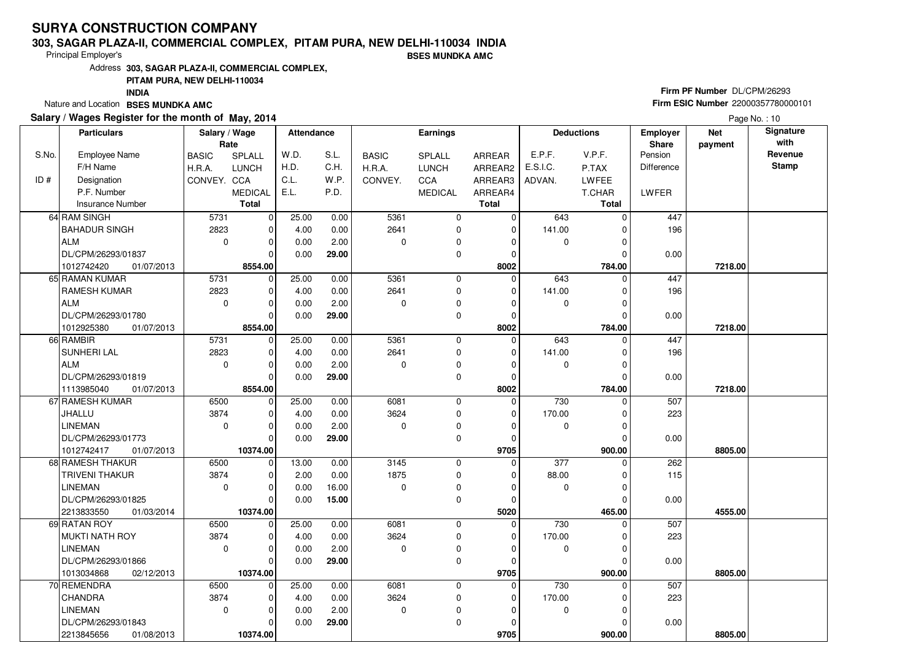#### **303, SAGAR PLAZA-II, COMMERCIAL COMPLEX, PITAM PURA, NEW DELHI-110034 INDIABSES MUNDKA AMC**

Principal Employer's

Address**303, SAGAR PLAZA-II, COMMERCIAL COMPLEX,**

**PITAM PURA, NEW DELHI-110034**

**INDIA**

Nature and Location **BSES MUNDKA AMC** 

#### **Salary / Wages Register for the month of May, 2014**

# **Firm PF Number** DL/CPM/26293 **Firm ESIC Number** <sup>22000357780000101</sup>

|       | <b>Particulars</b>       | Salary / Wage<br>Rate |                | <b>Attendance</b> |       |              | Earnings       |              |                  | <b>Deductions</b> | <b>Employer</b><br>Share | <b>Net</b><br>payment | Signature<br>with |
|-------|--------------------------|-----------------------|----------------|-------------------|-------|--------------|----------------|--------------|------------------|-------------------|--------------------------|-----------------------|-------------------|
| S.No. | <b>Employee Name</b>     | <b>BASIC</b>          | SPLALL         | W.D.              | S.L.  | <b>BASIC</b> | SPLALL         | ARREAR       | E.P.F.           | V.P.F.            | Pension                  |                       | Revenue           |
|       | F/H Name                 | H.R.A.                | <b>LUNCH</b>   | H.D.              | C.H.  | H.R.A.       | LUNCH          | ARREAR2      | E.S.I.C.         | P.TAX             | <b>Difference</b>        |                       | <b>Stamp</b>      |
| ID#   | Designation              | CONVEY. CCA           |                | C.L.              | W.P.  | CONVEY.      | CCA            | ARREAR3      | ADVAN.           | LWFEE             |                          |                       |                   |
|       | P.F. Number              |                       | <b>MEDICAL</b> | E.L.              | P.D.  |              | <b>MEDICAL</b> | ARREAR4      |                  | T.CHAR            | LWFER                    |                       |                   |
|       | <b>Insurance Number</b>  |                       | <b>Total</b>   |                   |       |              |                | <b>Total</b> |                  | <b>Total</b>      |                          |                       |                   |
|       | 64 RAM SINGH             | 5731                  | $\mathbf 0$    | 25.00             | 0.00  | 5361         | 0              | $\mathbf 0$  | 643              | $\Omega$          | 447                      |                       |                   |
|       | <b>BAHADUR SINGH</b>     | 2823                  | $\mathbf 0$    | 4.00              | 0.00  | 2641         | $\mathbf 0$    | $\Omega$     | 141.00           | U                 | 196                      |                       |                   |
|       | ALM                      | $\mathbf 0$           | $\mathbf 0$    | 0.00              | 2.00  | $\Omega$     | 0              | $\Omega$     | 0                |                   |                          |                       |                   |
|       | DL/CPM/26293/01837       |                       | $\Omega$       | 0.00              | 29.00 |              | $\mathbf 0$    | $\Omega$     |                  | ŋ                 | 0.00                     |                       |                   |
|       | 1012742420<br>01/07/2013 |                       | 8554.00        |                   |       |              |                | 8002         |                  | 784.00            |                          | 7218.00               |                   |
|       | 65 RAMAN KUMAR           | 5731                  | $\mathbf 0$    | 25.00             | 0.00  | 5361         | $\mathbf 0$    | $\Omega$     | 643              | $\Omega$          | 447                      |                       |                   |
|       | <b>RAMESH KUMAR</b>      | 2823                  | $\mathbf 0$    | 4.00              | 0.00  | 2641         | 0              | 0            | 141.00           | 0                 | 196                      |                       |                   |
|       | ALM                      | $\mathbf 0$           | $\mathbf 0$    | 0.00              | 2.00  | $\Omega$     | $\mathbf 0$    | $\Omega$     | 0                | O                 |                          |                       |                   |
|       | DL/CPM/26293/01780       |                       | $\Omega$       | 0.00              | 29.00 |              | 0              | $\mathbf 0$  |                  | 0                 | 0.00                     |                       |                   |
|       | 1012925380<br>01/07/2013 |                       | 8554.00        |                   |       |              |                | 8002         |                  | 784.00            |                          | 7218.00               |                   |
|       | 66 RAMBIR                | 5731                  | $\mathbf 0$    | 25.00             | 0.00  | 5361         | 0              | $\mathbf 0$  | 643              | $\Omega$          | 447                      |                       |                   |
|       | <b>SUNHERI LAL</b>       | 2823                  | $\mathbf 0$    | 4.00              | 0.00  | 2641         | $\mathbf 0$    | $\mathbf 0$  | 141.00           |                   | 196                      |                       |                   |
|       | ALM                      | $\mathbf 0$           | $\mathbf 0$    | 0.00              | 2.00  | $\Omega$     | 0              | $\Omega$     | 0                | $\Omega$          |                          |                       |                   |
|       | DL/CPM/26293/01819       |                       | $\Omega$       | 0.00              | 29.00 |              | $\mathbf 0$    | $\Omega$     |                  |                   | 0.00                     |                       |                   |
|       | 1113985040<br>01/07/2013 |                       | 8554.00        |                   |       |              |                | 8002         |                  | 784.00            |                          | 7218.00               |                   |
|       | 67 RAMESH KUMAR          | 6500                  | $\mathbf 0$    | 25.00             | 0.00  | 6081         | 0              | $\mathbf 0$  | 730              | 0                 | 507                      |                       |                   |
|       | JHALLU                   | 3874                  | $\Omega$       | 4.00              | 0.00  | 3624         | 0              | $\Omega$     | 170.00           |                   | 223                      |                       |                   |
|       | <b>LINEMAN</b>           | $\Omega$              | $\mathbf 0$    | 0.00              | 2.00  | $\Omega$     | 0              | $\Omega$     | 0                | O                 |                          |                       |                   |
|       | DL/CPM/26293/01773       |                       | $\Omega$       | 0.00              | 29.00 |              | $\Omega$       | $\Omega$     |                  |                   | 0.00                     |                       |                   |
|       | 1012742417<br>01/07/2013 |                       | 10374.00       |                   |       |              |                | 9705         |                  | 900.00            |                          | 8805.00               |                   |
|       | 68 RAMESH THAKUR         | 6500                  | $\mathbf 0$    | 13.00             | 0.00  | 3145         | $\mathbf 0$    | $\Omega$     | $\overline{377}$ | O                 | 262                      |                       |                   |
|       | <b>TRIVENI THAKUR</b>    | 3874                  | $\mathbf 0$    | 2.00              | 0.00  | 1875         | $\mathbf 0$    | 0            | 88.00            |                   | 115                      |                       |                   |
|       | <b>LINEMAN</b>           | $\Omega$              | $\mathbf 0$    | 0.00              | 16.00 | $\Omega$     | $\mathbf 0$    | $\Omega$     | 0                | $\Omega$          |                          |                       |                   |
|       | DL/CPM/26293/01825       |                       | $\mathbf 0$    | 0.00              | 15.00 |              | 0              | $\Omega$     |                  |                   | 0.00                     |                       |                   |
|       | 2213833550<br>01/03/2014 |                       | 10374.00       |                   |       |              |                | 5020         |                  | 465.00            |                          | 4555.00               |                   |
|       | 69 RATAN ROY             | 6500                  | $\mathbf 0$    | 25.00             | 0.00  | 6081         | $\mathbf 0$    | $\Omega$     | 730              | $\Omega$          | 507                      |                       |                   |
|       | MUKTI NATH ROY           | 3874                  | $\Omega$       | 4.00              | 0.00  | 3624         | $\mathbf 0$    | $\Omega$     | 170.00           | U                 | 223                      |                       |                   |
|       | <b>LINEMAN</b>           | $\mathbf 0$           | $\mathbf 0$    | 0.00              | 2.00  | $\Omega$     | 0              | $\Omega$     | 0                |                   |                          |                       |                   |
|       | DL/CPM/26293/01866       |                       | $\Omega$       | 0.00              | 29.00 |              | $\mathbf 0$    | $\Omega$     |                  |                   | 0.00                     |                       |                   |
|       | 1013034868<br>02/12/2013 |                       | 10374.00       |                   |       |              |                | 9705         |                  | 900.00            |                          | 8805.00               |                   |
|       | 70 REMENDRA              | 6500                  | $\mathbf 0$    | 25.00             | 0.00  | 6081         | $\mathbf 0$    | $\Omega$     | 730              | 0                 | 507                      |                       |                   |
|       | <b>CHANDRA</b>           | 3874                  | $\mathbf 0$    | 4.00              | 0.00  | 3624         | $\mathbf 0$    | 0            | 170.00           |                   | 223                      |                       |                   |
|       | <b>LINEMAN</b>           | $\mathbf 0$           | $\mathbf 0$    | 0.00              | 2.00  | $\mathbf 0$  | 0              | $\Omega$     | 0                | O                 |                          |                       |                   |
|       | DL/CPM/26293/01843       |                       | 0              | 0.00              | 29.00 |              | 0              | $\Omega$     |                  |                   | 0.00                     |                       |                   |
|       | 2213845656<br>01/08/2013 |                       | 10374.00       |                   |       |              |                | 9705         |                  | 900.00            |                          | 8805.00               |                   |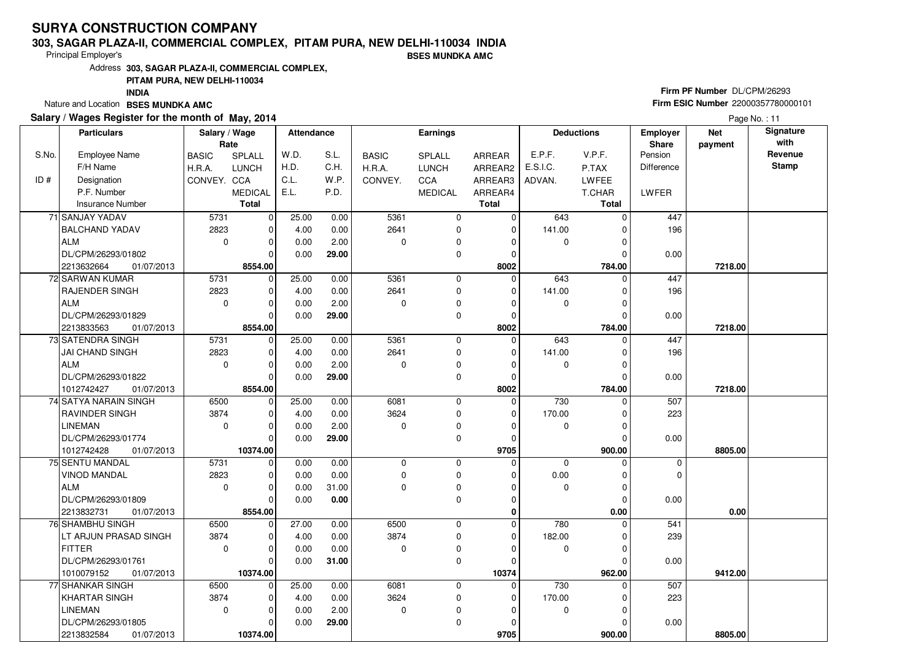#### **303, SAGAR PLAZA-II, COMMERCIAL COMPLEX, PITAM PURA, NEW DELHI-110034 INDIABSES MUNDKA AMC**

Principal Employer's

Address**303, SAGAR PLAZA-II, COMMERCIAL COMPLEX,**

### **PITAM PURA, NEW DELHI-110034**

**INDIA**

Nature and Location **BSES MUNDKA AMC** 

### **Salary / Wages Register for the month of May, 2014**

# **Firm PF Number** DL/CPM/26293 **Firm ESIC Number** <sup>22000357780000101</sup>

|       | <b>Particulars</b>       | Salary / Wage<br>Rate |                | Attendance |       |              | Earnings       |              |             | <b>Deductions</b> | <b>Employer</b><br>Share | <b>Net</b><br>payment | Signature<br>with |
|-------|--------------------------|-----------------------|----------------|------------|-------|--------------|----------------|--------------|-------------|-------------------|--------------------------|-----------------------|-------------------|
| S.No. | <b>Employee Name</b>     | <b>BASIC</b>          | SPLALL         | W.D.       | S.L.  | <b>BASIC</b> | SPLALL         | ARREAR       | E.P.F.      | V.P.F.            | Pension                  |                       | Revenue           |
|       | F/H Name                 | H.R.A.                | <b>LUNCH</b>   | H.D.       | C.H.  | H.R.A.       | <b>LUNCH</b>   | ARREAR2      | E.S.I.C.    | P.TAX             | Difference               |                       | <b>Stamp</b>      |
| ID#   | Designation              | CONVEY. CCA           |                | C.L.       | W.P.  | CONVEY.      | CCA            | ARREAR3      | ADVAN.      | <b>LWFEE</b>      |                          |                       |                   |
|       | P.F. Number              |                       | <b>MEDICAL</b> | E.L.       | P.D.  |              | <b>MEDICAL</b> | ARREAR4      |             | T.CHAR            | LWFER                    |                       |                   |
|       | <b>Insurance Number</b>  |                       | <b>Total</b>   |            |       |              |                | <b>Total</b> |             | <b>Total</b>      |                          |                       |                   |
|       | 71 SANJAY YADAV          | 5731                  | $\overline{0}$ | 25.00      | 0.00  | 5361         | 0              | 0            | 643         | $\Omega$          | 447                      |                       |                   |
|       | <b>BALCHAND YADAV</b>    | 2823                  | $\mathbf 0$    | 4.00       | 0.00  | 2641         | 0              | $\Omega$     | 141.00      | $\Omega$          | 196                      |                       |                   |
|       | ALM                      | $\mathbf 0$           | $\mathbf 0$    | 0.00       | 2.00  | 0            | 0              | 0            | 0           | $\Omega$          |                          |                       |                   |
|       | DL/CPM/26293/01802       |                       | $\Omega$       | 0.00       | 29.00 |              | 0              | $\Omega$     |             | 0                 | 0.00                     |                       |                   |
|       | 2213632664<br>01/07/2013 |                       | 8554.00        |            |       |              |                | 8002         |             | 784.00            |                          | 7218.00               |                   |
|       | 72 SARWAN KUMAR          | 5731                  | 0              | 25.00      | 0.00  | 5361         | 0              | $\Omega$     | 643         | $\Omega$          | 447                      |                       |                   |
|       | <b>RAJENDER SINGH</b>    | 2823                  | $\mathbf 0$    | 4.00       | 0.00  | 2641         | 0              | $\Omega$     | 141.00      | $\Omega$          | 196                      |                       |                   |
|       | ALM                      | $\mathbf 0$           | $\mathbf 0$    | 0.00       | 2.00  | $\mathbf 0$  | 0              | 0            | $\mathbf 0$ | 0                 |                          |                       |                   |
|       | DL/CPM/26293/01829       |                       | $\Omega$       | 0.00       | 29.00 |              | 0              | $\Omega$     |             | 0                 | 0.00                     |                       |                   |
|       | 2213833563<br>01/07/2013 |                       | 8554.00        |            |       |              |                | 8002         |             | 784.00            |                          | 7218.00               |                   |
|       | 73 SATENDRA SINGH        | 5731                  | $\overline{0}$ | 25.00      | 0.00  | 5361         | 0              | $\Omega$     | 643         | $\Omega$          | 447                      |                       |                   |
|       | JAI CHAND SINGH          | 2823                  | $\mathbf 0$    | 4.00       | 0.00  | 2641         | 0              | 0            | 141.00      | $\Omega$          | 196                      |                       |                   |
|       | ALM                      | $\Omega$              | $\Omega$       | 0.00       | 2.00  | $\Omega$     | 0              | $\Omega$     | $\mathbf 0$ | $\Omega$          |                          |                       |                   |
|       | DL/CPM/26293/01822       |                       | $\Omega$       | 0.00       | 29.00 |              | 0              | $\Omega$     |             | O                 | 0.00                     |                       |                   |
|       | 1012742427<br>01/07/2013 |                       | 8554.00        |            |       |              |                | 8002         |             | 784.00            |                          | 7218.00               |                   |
|       | 74 SATYA NARAIN SINGH    | 6500                  | $\mathbf 0$    | 25.00      | 0.00  | 6081         | 0              | $\Omega$     | 730         | $\Omega$          | 507                      |                       |                   |
|       | <b>RAVINDER SINGH</b>    | 3874                  | $\Omega$       | 4.00       | 0.00  | 3624         | 0              | $\Omega$     | 170.00      | 0                 | 223                      |                       |                   |
|       | <b>LINEMAN</b>           | $\Omega$              | $\Omega$       | 0.00       | 2.00  | $\Omega$     | 0              | $\Omega$     | $\mathbf 0$ | $\Omega$          |                          |                       |                   |
|       | DL/CPM/26293/01774       |                       | $\Omega$       | 0.00       | 29.00 |              | 0              | $\Omega$     |             | 0                 | 0.00                     |                       |                   |
|       | 1012742428<br>01/07/2013 |                       | 10374.00       |            |       |              |                | 9705         |             | 900.00            |                          | 8805.00               |                   |
|       | 75 SENTU MANDAL          | 5731                  | $\mathbf 0$    | 0.00       | 0.00  | $\mathbf 0$  | 0              | 0            | $\mathbf 0$ | $\Omega$          | 0                        |                       |                   |
|       | <b>VINOD MANDAL</b>      | 2823                  | $\Omega$       | 0.00       | 0.00  | $\Omega$     | 0              | $\Omega$     | 0.00        | $\Omega$          | $\Omega$                 |                       |                   |
|       | ALM                      | $\mathbf 0$           | $\mathbf 0$    | 0.00       | 31.00 | $\Omega$     | 0              | $\Omega$     | 0           | 0                 |                          |                       |                   |
|       | DL/CPM/26293/01809       |                       | $\Omega$       | 0.00       | 0.00  |              | 0              | $\Omega$     |             | $\Omega$          | 0.00                     |                       |                   |
|       | 2213832731<br>01/07/2013 |                       | 8554.00        |            |       |              |                | 0            |             | 0.00              |                          | 0.00                  |                   |
|       | <b>76 SHAMBHU SINGH</b>  | 6500                  | $\mathbf 0$    | 27.00      | 0.00  | 6500         | 0              | $\Omega$     | 780         | U                 | 541                      |                       |                   |
|       | LT ARJUN PRASAD SINGH    | 3874                  | $\Omega$       | 4.00       | 0.00  | 3874         | 0              | $\Omega$     | 182.00      | $\Omega$          | 239                      |                       |                   |
|       | <b>FITTER</b>            | $\Omega$              | $\mathbf 0$    | 0.00       | 0.00  | $\Omega$     | 0              | $\Omega$     | 0           | $\Omega$          |                          |                       |                   |
|       | DL/CPM/26293/01761       |                       | $\Omega$       | 0.00       | 31.00 |              | 0              | ŋ            |             | 0                 | 0.00                     |                       |                   |
|       | 1010079152<br>01/07/2013 |                       | 10374.00       |            |       |              |                | 10374        |             | 962.00            |                          | 9412.00               |                   |
|       | 77 SHANKAR SINGH         | 6500                  | $\Omega$       | 25.00      | 0.00  | 6081         | 0              | $\Omega$     | 730         | U                 | 507                      |                       |                   |
|       | <b>KHARTAR SINGH</b>     | 3874                  | $\Omega$       | 4.00       | 0.00  | 3624         | 0              | $\Omega$     | 170.00      | 0                 | 223                      |                       |                   |
|       | <b>LINEMAN</b>           | $\mathbf 0$           | $\mathbf 0$    | 0.00       | 2.00  | $\mathbf 0$  | 0              | 0            | $\mathbf 0$ | $\Omega$          |                          |                       |                   |
|       | DL/CPM/26293/01805       |                       | $\Omega$       | 0.00       | 29.00 |              | 0              | ŋ            |             | 0                 | 0.00                     |                       |                   |
|       | 2213832584<br>01/07/2013 |                       | 10374.00       |            |       |              |                | 9705         |             | 900.00            |                          | 8805.00               |                   |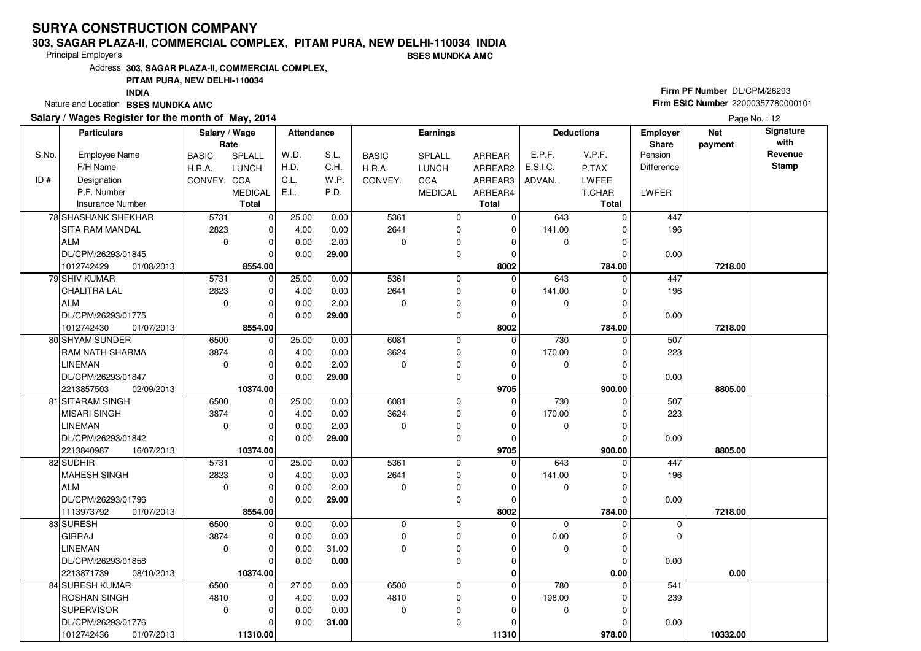#### **303, SAGAR PLAZA-II, COMMERCIAL COMPLEX, PITAM PURA, NEW DELHI-110034 INDIA**

Principal Employer's

**BSES MUNDKA AMC**

Address**303, SAGAR PLAZA-II, COMMERCIAL COMPLEX,**

### **PITAM PURA, NEW DELHI-110034**

**INDIA**

Nature and Location **BSES MUNDKA AMC** 

### **Salary / Wages Register for the month of May, 2014**

# **Firm PF Number** DL/CPM/26293 **Firm ESIC Number** <sup>22000357780000101</sup>

|       | <b>Particulars</b>       | Salary / Wage<br>Rate |                | Attendance |       |              | <b>Earnings</b> |              |             | <b>Deductions</b> | <b>Employer</b><br>Share | <b>Net</b><br>payment | Signature<br>with |
|-------|--------------------------|-----------------------|----------------|------------|-------|--------------|-----------------|--------------|-------------|-------------------|--------------------------|-----------------------|-------------------|
| S.No. | <b>Employee Name</b>     | <b>BASIC</b>          | SPLALL         | W.D.       | S.L.  | <b>BASIC</b> | SPLALL          | ARREAR       | E.P.F.      | V.P.F.            | Pension                  |                       | Revenue           |
|       | F/H Name                 | H.R.A.                | <b>LUNCH</b>   | H.D.       | C.H.  | H.R.A.       | <b>LUNCH</b>    | ARREAR2      | E.S.I.C.    | P.TAX             | Difference               |                       | <b>Stamp</b>      |
| ID#   | Designation              | CONVEY. CCA           |                | C.L.       | W.P.  | CONVEY.      | CCA             | ARREAR3      | ADVAN.      | LWFEE             |                          |                       |                   |
|       | P.F. Number              |                       | <b>MEDICAL</b> | E.L.       | P.D.  |              | <b>MEDICAL</b>  | ARREAR4      |             | T.CHAR            | LWFER                    |                       |                   |
|       | <b>Insurance Number</b>  |                       | <b>Total</b>   |            |       |              |                 | <b>Total</b> |             | <b>Total</b>      |                          |                       |                   |
|       | 78 SHASHANK SHEKHAR      | 5731                  | $\mathbf 0$    | 25.00      | 0.00  | 5361         | 0               | $\mathbf 0$  | 643         | 0                 | 447                      |                       |                   |
|       | SITA RAM MANDAL          | 2823                  | $\mathbf 0$    | 4.00       | 0.00  | 2641         | 0               | $\mathbf 0$  | 141.00      | $\Omega$          | 196                      |                       |                   |
|       | ALM                      | $\mathbf 0$           | $\mathbf 0$    | 0.00       | 2.00  | $\Omega$     | 0               | $\Omega$     | 0           |                   |                          |                       |                   |
|       | DL/CPM/26293/01845       |                       | $\Omega$       | 0.00       | 29.00 |              | $\mathbf 0$     | $\mathbf 0$  |             | 0                 | 0.00                     |                       |                   |
|       | 1012742429<br>01/08/2013 |                       | 8554.00        |            |       |              |                 | 8002         |             | 784.00            |                          | 7218.00               |                   |
|       | 79 SHIV KUMAR            | 5731                  | 0              | 25.00      | 0.00  | 5361         | $\mathbf 0$     | $\Omega$     | 643         | $\Omega$          | 447                      |                       |                   |
|       | CHALITRA LAL             | 2823                  | $\mathbf 0$    | 4.00       | 0.00  | 2641         | $\mathbf 0$     | 0            | 141.00      | O                 | 196                      |                       |                   |
|       | ALM                      | $\mathbf 0$           | $\mathbf 0$    | 0.00       | 2.00  | $\Omega$     | 0               | $\Omega$     | 0           |                   |                          |                       |                   |
|       | DL/CPM/26293/01775       |                       | $\Omega$       | 0.00       | 29.00 |              | $\mathbf 0$     | $\Omega$     |             | $\Omega$          | 0.00                     |                       |                   |
|       | 1012742430<br>01/07/2013 |                       | 8554.00        |            |       |              |                 | 8002         |             | 784.00            |                          | 7218.00               |                   |
|       | 80 SHYAM SUNDER          | 6500                  | $\mathbf 0$    | 25.00      | 0.00  | 6081         | $\mathbf 0$     | $\Omega$     | 730         | $\Omega$          | 507                      |                       |                   |
|       | <b>RAM NATH SHARMA</b>   | 3874                  | $\mathbf 0$    | 4.00       | 0.00  | 3624         | $\mathbf 0$     | 0            | 170.00      |                   | 223                      |                       |                   |
|       | <b>LINEMAN</b>           | $\Omega$              | $\Omega$       | 0.00       | 2.00  | $\Omega$     | $\mathbf 0$     | $\Omega$     | $\mathbf 0$ | O                 |                          |                       |                   |
|       | DL/CPM/26293/01847       |                       | $\Omega$       | 0.00       | 29.00 |              | $\mathbf 0$     | $\mathbf 0$  |             |                   | 0.00                     |                       |                   |
|       | 2213857503<br>02/09/2013 |                       | 10374.00       |            |       |              |                 | 9705         |             | 900.00            |                          | 8805.00               |                   |
|       | 81 SITARAM SINGH         | 6500                  | $\mathbf 0$    | 25.00      | 0.00  | 6081         | $\mathbf 0$     | $\Omega$     | 730         | O                 | 507                      |                       |                   |
|       | MISARI SINGH             | 3874                  | $\mathbf 0$    | 4.00       | 0.00  | 3624         | $\mathbf 0$     | $\Omega$     | 170.00      |                   | 223                      |                       |                   |
|       | <b>LINEMAN</b>           | $\Omega$              | $\Omega$       | 0.00       | 2.00  | $\Omega$     | 0               | $\Omega$     | $\mathbf 0$ |                   |                          |                       |                   |
|       | DL/CPM/26293/01842       |                       | $\Omega$       | 0.00       | 29.00 |              | $\mathbf 0$     | $\mathbf 0$  |             |                   | 0.00                     |                       |                   |
|       | 2213840987<br>16/07/2013 |                       | 10374.00       |            |       |              |                 | 9705         |             | 900.00            |                          | 8805.00               |                   |
|       | 82 SUDHIR                | 5731                  | $\mathbf 0$    | 25.00      | 0.00  | 5361         | $\mathbf 0$     | $\mathbf 0$  | 643         |                   | 447                      |                       |                   |
|       | MAHESH SINGH             | 2823                  | $\Omega$       | 4.00       | 0.00  | 2641         | $\mathbf 0$     | $\Omega$     | 141.00      |                   | 196                      |                       |                   |
|       | ALM                      | $\mathbf 0$           | $\mathbf 0$    | 0.00       | 2.00  | $\Omega$     | $\mathbf 0$     | $\mathbf 0$  | 0           | $\Omega$          |                          |                       |                   |
|       | DL/CPM/26293/01796       |                       | $\Omega$       | 0.00       | 29.00 |              | $\mathbf 0$     | 0            |             |                   | 0.00                     |                       |                   |
|       | 1113973792<br>01/07/2013 |                       | 8554.00        |            |       |              |                 | 8002         |             | 784.00            |                          | 7218.00               |                   |
|       | 83 SURESH                | 6500                  | $\mathbf 0$    | 0.00       | 0.00  | 0            | $\mathbf 0$     | $\Omega$     | $\mathbf 0$ | 0                 | 0                        |                       |                   |
|       | <b>GIRRAJ</b>            | 3874                  | $\Omega$       | 0.00       | 0.00  | $\Omega$     | $\mathbf 0$     | $\Omega$     | 0.00        | $\Omega$          | $\mathbf 0$              |                       |                   |
|       | <b>LINEMAN</b>           | $\Omega$              | $\mathbf 0$    | 0.00       | 31.00 | $\Omega$     | $\mathbf 0$     | $\Omega$     | $\mathbf 0$ | O                 |                          |                       |                   |
|       | DL/CPM/26293/01858       |                       | $\Omega$       | 0.00       | 0.00  |              | $\mathbf 0$     | 0            |             | $\Omega$          | 0.00                     |                       |                   |
|       | 2213871739<br>08/10/2013 |                       | 10374.00       |            |       |              |                 | 0            |             | $0.00\,$          |                          | 0.00                  |                   |
|       | 84 SURESH KUMAR          | 6500                  | $\mathbf 0$    | 27.00      | 0.00  | 6500         | $\mathbf 0$     | $\Omega$     | 780         | 0                 | 541                      |                       |                   |
|       | <b>ROSHAN SINGH</b>      | 4810                  | $\Omega$       | 4.00       | 0.00  | 4810         | 0               | 0            | 198.00      |                   | 239                      |                       |                   |
|       | <b>SUPERVISOR</b>        | $\mathbf 0$           | $\mathbf 0$    | 0.00       | 0.00  | $\mathbf 0$  | 0               | $\Omega$     | 0           | $\Omega$          |                          |                       |                   |
|       | DL/CPM/26293/01776       |                       | $\Omega$       | 0.00       | 31.00 |              | 0               | $\Omega$     |             |                   | 0.00                     |                       |                   |
|       | 1012742436<br>01/07/2013 |                       | 11310.00       |            |       |              |                 | 11310        |             | 978.00            |                          | 10332.00              |                   |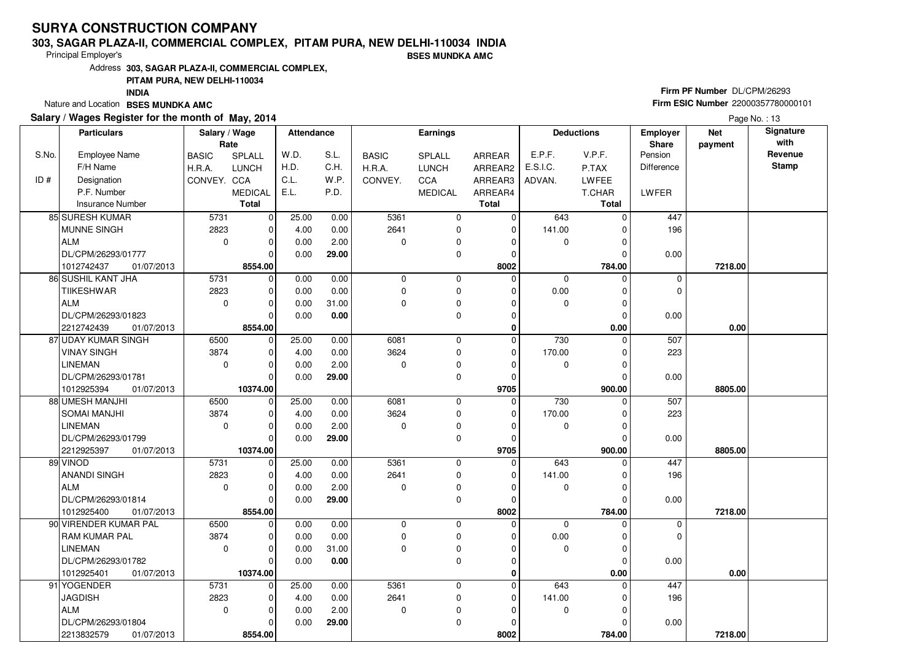#### **303, SAGAR PLAZA-II, COMMERCIAL COMPLEX, PITAM PURA, NEW DELHI-110034 INDIA**

Principal Employer's

**BSES MUNDKA AMC**

Address**303, SAGAR PLAZA-II, COMMERCIAL COMPLEX,**

### **PITAM PURA, NEW DELHI-110034**

**INDIA**

Nature and Location **BSES MUNDKA AMC** 

#### **Salary / Wages Register for the month of May, 2014**

# **Firm PF Number** DL/CPM/26293 **Firm ESIC Number** <sup>22000357780000101</sup>

| <b>Particulars</b> |                          | Salary / Wage<br>Rate |                | Attendance |       | <b>Earnings</b> |                |              | <b>Deductions</b> |               | <b>Employer</b><br>Share | <b>Net</b><br>payment | Signature<br>with |
|--------------------|--------------------------|-----------------------|----------------|------------|-------|-----------------|----------------|--------------|-------------------|---------------|--------------------------|-----------------------|-------------------|
| S.No.              | <b>Employee Name</b>     | <b>BASIC</b>          | SPLALL         | W.D.       | S.L.  | <b>BASIC</b>    | SPLALL         | ARREAR       | E.P.F.            | V.P.F.        | Pension                  |                       | Revenue           |
|                    | F/H Name                 | H.R.A.                | <b>LUNCH</b>   | H.D.       | C.H.  | H.R.A.          | <b>LUNCH</b>   | ARREAR2      | E.S.I.C.          | P.TAX         | <b>Difference</b>        |                       | <b>Stamp</b>      |
| ID#                | Designation              | CONVEY. CCA           |                | C.L.       | W.P.  | CONVEY.         | CCA            | ARREAR3      | ADVAN.            | <b>LWFEE</b>  |                          |                       |                   |
|                    | P.F. Number              |                       | <b>MEDICAL</b> | E.L.       | P.D.  |                 | <b>MEDICAL</b> | ARREAR4      |                   | T.CHAR        | LWFER                    |                       |                   |
|                    | <b>Insurance Number</b>  |                       | <b>Total</b>   |            |       |                 |                | <b>Total</b> |                   | <b>Total</b>  |                          |                       |                   |
|                    | 85 SURESH KUMAR          | 5731                  | $\mathbf 0$    | 25.00      | 0.00  | 5361            | 0              | $\mathbf 0$  | 643               | $\Omega$      | 447                      |                       |                   |
|                    | <b>MUNNE SINGH</b>       | 2823                  | $\mathbf 0$    | 4.00       | 0.00  | 2641            | 0              | $\mathbf 0$  | 141.00            | $\Omega$      | 196                      |                       |                   |
|                    | <b>ALM</b>               | $\mathbf 0$           | $\mathbf 0$    | 0.00       | 2.00  | 0               | 0              | 0            | $\mathbf 0$       | $\Omega$      |                          |                       |                   |
|                    | DL/CPM/26293/01777       |                       | $\Omega$       | 0.00       | 29.00 |                 | 0              | $\Omega$     |                   | $\Omega$      | 0.00                     |                       |                   |
|                    | 1012742437<br>01/07/2013 |                       | 8554.00        |            |       |                 |                | 8002         |                   | 784.00        |                          | 7218.00               |                   |
|                    | 86 SUSHIL KANT JHA       | 5731                  | $\mathbf 0$    | 0.00       | 0.00  | $\mathbf 0$     | 0              | $\mathbf 0$  | 0                 | $\Omega$      | 0                        |                       |                   |
|                    | <b>TIIKESHWAR</b>        | 2823                  | $\mathbf 0$    | 0.00       | 0.00  | 0               | 0              | $\mathbf 0$  | 0.00              | $\Omega$      | $\mathbf 0$              |                       |                   |
|                    | <b>ALM</b>               | $\mathbf 0$           | $\mathbf 0$    | 0.00       | 31.00 | 0               | 0              | $\Omega$     | $\mathbf 0$       | $\Omega$      |                          |                       |                   |
|                    | DL/CPM/26293/01823       |                       | $\Omega$       | 0.00       | 0.00  |                 | 0              | $\mathbf 0$  |                   | $\Omega$      | 0.00                     |                       |                   |
|                    | 2212742439<br>01/07/2013 |                       | 8554.00        |            |       |                 |                | 0            |                   | 0.00          |                          | 0.00                  |                   |
|                    | 87 UDAY KUMAR SINGH      | 6500                  | $\mathbf 0$    | 25.00      | 0.00  | 6081            | 0              | $\mathbf 0$  | 730               | $\Omega$      | 507                      |                       |                   |
|                    | <b>VINAY SINGH</b>       | 3874                  | $\mathbf 0$    | 4.00       | 0.00  | 3624            | 0              | $\mathbf 0$  | 170.00            | 0             | 223                      |                       |                   |
|                    | <b>LINEMAN</b>           | $\mathbf 0$           | $\mathbf 0$    | 0.00       | 2.00  | 0               | 0              | $\Omega$     | $\mathbf 0$       | $\Omega$      |                          |                       |                   |
|                    | DL/CPM/26293/01781       |                       | $\Omega$       | 0.00       | 29.00 |                 | 0              | $\mathbf 0$  |                   | 0             | 0.00                     |                       |                   |
|                    | 1012925394<br>01/07/2013 |                       | 10374.00       |            |       |                 |                | 9705         |                   | 900.00        |                          | 8805.00               |                   |
|                    | 88 UMESH MANJHI          | 6500                  | 0              | 25.00      | 0.00  | 6081            | 0              | $\mathbf 0$  | 730               | $\Omega$      | 507                      |                       |                   |
|                    | <b>SOMAI MANJHI</b>      | 3874                  | $\mathbf 0$    | 4.00       | 0.00  | 3624            | $\mathbf 0$    | $\mathbf 0$  | 170.00            | 0             | 223                      |                       |                   |
|                    | <b>LINEMAN</b>           | $\mathbf 0$           | $\mathbf 0$    | 0.00       | 2.00  | 0               | 0              | $\Omega$     | $\pmb{0}$         | 0             |                          |                       |                   |
|                    | DL/CPM/26293/01799       |                       | $\Omega$       | 0.00       | 29.00 |                 | 0              | $\mathbf 0$  |                   | $\Omega$      | 0.00                     |                       |                   |
|                    | 2212925397<br>01/07/2013 |                       | 10374.00       |            |       |                 |                | 9705         |                   | 900.00        |                          | 8805.00               |                   |
|                    | 89 VINOD                 | 5731                  | $\mathbf 0$    | 25.00      | 0.00  | 5361            | 0              | $\mathbf 0$  | 643               | $\Omega$      | 447                      |                       |                   |
|                    | <b>ANANDI SINGH</b>      | 2823                  | $\mathbf 0$    | 4.00       | 0.00  | 2641            | 0              | $\mathbf 0$  | 141.00            | $\Omega$      | 196                      |                       |                   |
|                    | <b>ALM</b>               | $\Omega$              | $\mathbf 0$    | 0.00       | 2.00  | 0               | 0              | $\Omega$     | $\mathbf 0$       | $\Omega$      |                          |                       |                   |
|                    | DL/CPM/26293/01814       |                       | $\mathbf 0$    | 0.00       | 29.00 |                 | 0              | $\mathbf 0$  |                   | $\mathcal{C}$ | 0.00                     |                       |                   |
|                    | 1012925400<br>01/07/2013 |                       | 8554.00        |            |       |                 |                | 8002         |                   | 784.00        |                          | 7218.00               |                   |
|                    | 90 VIRENDER KUMAR PAL    | 6500                  | $\pmb{0}$      | 0.00       | 0.00  | $\mathbf 0$     | $\mathbf 0$    | $\mathbf 0$  | $\mathbf{0}$      | $\Omega$      | $\mathbf 0$              |                       |                   |
|                    | <b>RAM KUMAR PAL</b>     | 3874                  | $\mathbf 0$    | 0.00       | 0.00  | 0               | 0              | $\Omega$     | 0.00              | 0             | $\mathbf 0$              |                       |                   |
|                    | <b>LINEMAN</b>           | $\Omega$              | $\mathbf 0$    | 0.00       | 31.00 | 0               | 0              | $\mathbf 0$  | $\mathbf 0$       | $\Omega$      |                          |                       |                   |
|                    | DL/CPM/26293/01782       |                       | $\overline{0}$ | 0.00       | 0.00  |                 | $\mathbf 0$    | $\Omega$     |                   | $\Omega$      | 0.00                     |                       |                   |
|                    | 1012925401<br>01/07/2013 |                       | 10374.00       |            |       |                 |                | $\bf{0}$     |                   | 0.00          |                          | 0.00                  |                   |
|                    | 91 YOGENDER              | 5731                  | $\mathbf 0$    | 25.00      | 0.00  | 5361            | 0              | $\pmb{0}$    | 643               | $\Omega$      | 447                      |                       |                   |
|                    | <b>JAGDISH</b>           | 2823                  | $\mathbf 0$    | 4.00       | 0.00  | 2641            | 0              | $\mathbf 0$  | 141.00            | C             | 196                      |                       |                   |
|                    | <b>ALM</b>               | $\mathbf 0$           | $\mathbf 0$    | 0.00       | 2.00  | 0               | 0              | $\Omega$     | 0                 | $\Omega$      |                          |                       |                   |
|                    | DL/CPM/26293/01804       |                       | $\mathbf 0$    | 0.00       | 29.00 |                 | $\mathbf 0$    | 0            |                   |               | 0.00                     |                       |                   |
|                    | 2213832579<br>01/07/2013 |                       | 8554.00        |            |       |                 |                | 8002         |                   | 784.00        |                          | 7218.00               |                   |